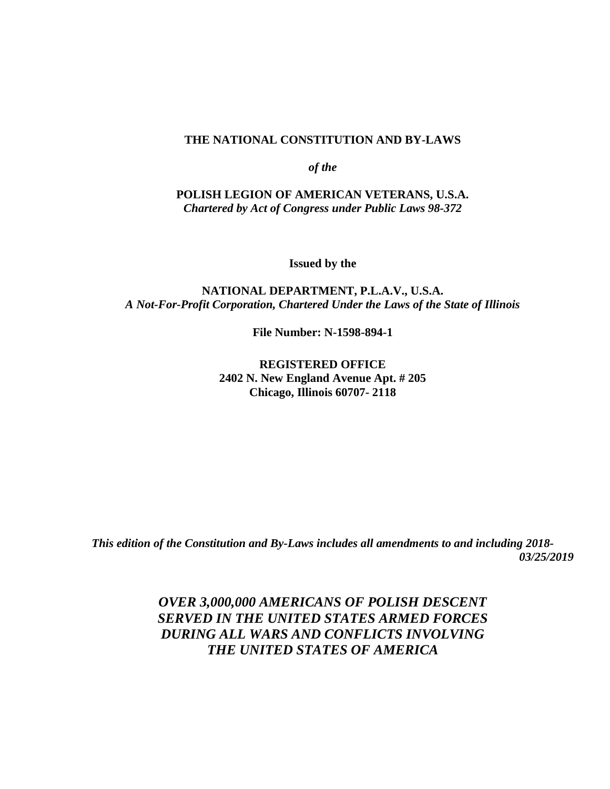#### **THE NATIONAL CONSTITUTION AND BY-LAWS**

*of the*

**POLISH LEGION OF AMERICAN VETERANS, U.S.A.** *Chartered by Act of Congress under Public Laws 98-372*

**Issued by the**

#### **NATIONAL DEPARTMENT, P.L.A.V., U.S.A.** *A Not-For-Profit Corporation, Chartered Under the Laws of the State of Illinois*

**File Number: N-1598-894-1**

**REGISTERED OFFICE 2402 N. New England Avenue Apt. # 205 Chicago, Illinois 60707- 2118**

*This edition of the Constitution and By-Laws includes all amendments to and including 2018- 03/25/2019*

> *OVER 3,000,000 AMERICANS OF POLISH DESCENT SERVED IN THE UNITED STATES ARMED FORCES DURING ALL WARS AND CONFLICTS INVOLVING THE UNITED STATES OF AMERICA*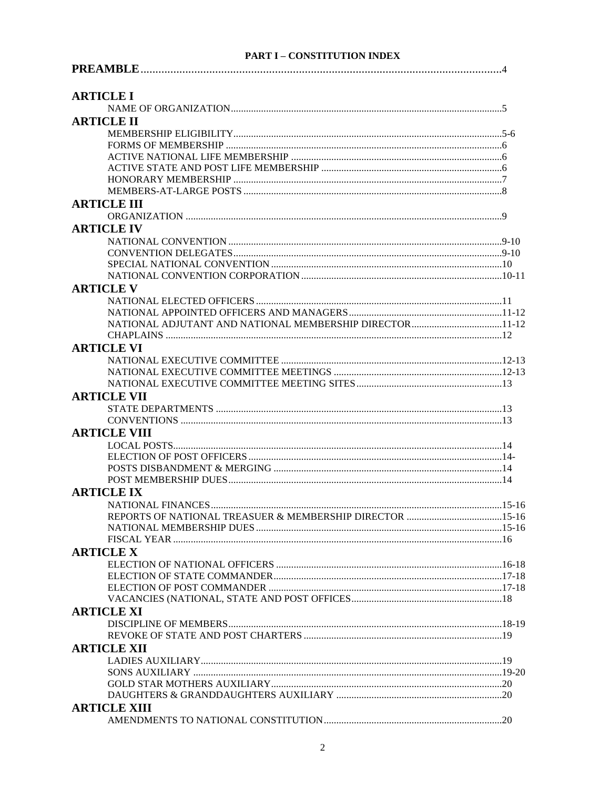#### **PART I - CONSTITUTION INDEX**

| <b>ARTICLE I</b>                                         |  |
|----------------------------------------------------------|--|
|                                                          |  |
| <b>ARTICLE II</b>                                        |  |
|                                                          |  |
|                                                          |  |
|                                                          |  |
|                                                          |  |
|                                                          |  |
|                                                          |  |
| <b>ARTICLE III</b>                                       |  |
|                                                          |  |
| <b>ARTICLE IV</b>                                        |  |
|                                                          |  |
|                                                          |  |
|                                                          |  |
|                                                          |  |
| <b>ARTICLE V</b>                                         |  |
|                                                          |  |
|                                                          |  |
|                                                          |  |
|                                                          |  |
| <b>ARTICLE VI</b>                                        |  |
|                                                          |  |
|                                                          |  |
|                                                          |  |
| <b>ARTICLE VII</b>                                       |  |
|                                                          |  |
|                                                          |  |
| <b>ARTICLE VIII</b>                                      |  |
|                                                          |  |
|                                                          |  |
|                                                          |  |
|                                                          |  |
| <b>ARTICLE IX</b>                                        |  |
|                                                          |  |
| REPORTS OF NATIONAL TREASUER & MEMBERSHIP DIRECTOR 15-16 |  |
|                                                          |  |
|                                                          |  |
| <b>ARTICLE X</b>                                         |  |
|                                                          |  |
|                                                          |  |
|                                                          |  |
|                                                          |  |
| <b>ARTICLE XI</b>                                        |  |
|                                                          |  |
|                                                          |  |
| <b>ARTICLE XII</b>                                       |  |
|                                                          |  |
|                                                          |  |
|                                                          |  |
|                                                          |  |
| <b>ARTICLE XIII</b>                                      |  |
|                                                          |  |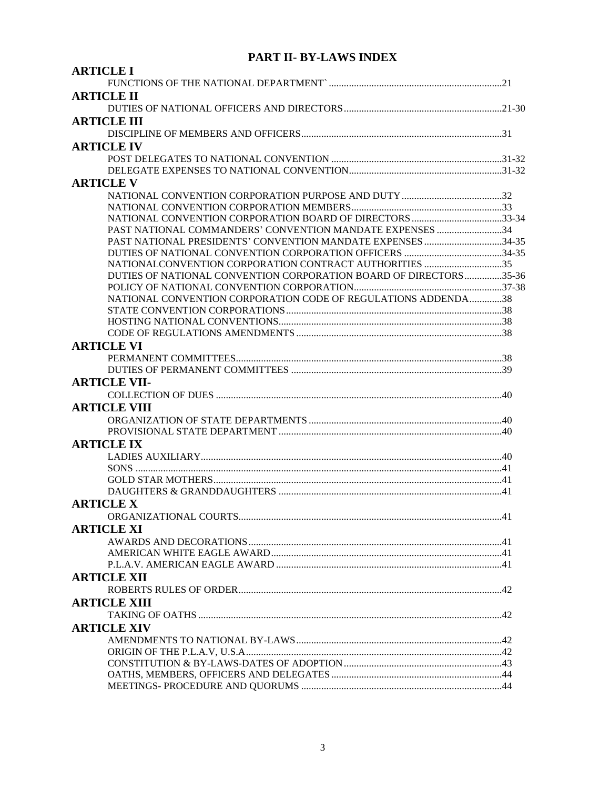# **PART II- BY-LAWS INDEX**

| <b>ARTICLE I</b>                                                  |  |
|-------------------------------------------------------------------|--|
|                                                                   |  |
| <b>ARTICLE II</b>                                                 |  |
|                                                                   |  |
| <b>ARTICLE III</b>                                                |  |
|                                                                   |  |
| <b>ARTICLE IV</b>                                                 |  |
|                                                                   |  |
|                                                                   |  |
| <b>ARTICLE V</b>                                                  |  |
|                                                                   |  |
|                                                                   |  |
| NATIONAL CONVENTION CORPORATION BOARD OF DIRECTORS 33-34          |  |
| PAST NATIONAL COMMANDERS' CONVENTION MANDATE EXPENSES 34          |  |
| PAST NATIONAL PRESIDENTS' CONVENTION MANDATE EXPENSES 34-35       |  |
|                                                                   |  |
| NATIONALCONVENTION CORPORATION CONTRACT AUTHORITIES 35            |  |
| DUTIES OF NATIONAL CONVENTION CORPORATION BOARD OF DIRECTORS35-36 |  |
|                                                                   |  |
| NATIONAL CONVENTION CORPORATION CODE OF REGULATIONS ADDENDA38     |  |
|                                                                   |  |
|                                                                   |  |
|                                                                   |  |
| <b>ARTICLE VI</b>                                                 |  |
|                                                                   |  |
|                                                                   |  |
| <b>ARTICLE VII-</b>                                               |  |
|                                                                   |  |
| <b>ARTICLE VIII</b>                                               |  |
|                                                                   |  |
|                                                                   |  |
| <b>ARTICLE IX</b>                                                 |  |
|                                                                   |  |
|                                                                   |  |
|                                                                   |  |
|                                                                   |  |
| <b>ARTICLE X</b>                                                  |  |
|                                                                   |  |
| <b>ARTICLE XI</b>                                                 |  |
|                                                                   |  |
|                                                                   |  |
|                                                                   |  |
| <b>ARTICLE XII</b>                                                |  |
|                                                                   |  |
| <b>ARTICLE XIII</b>                                               |  |
|                                                                   |  |
| <b>ARTICLE XIV</b>                                                |  |
|                                                                   |  |
|                                                                   |  |
|                                                                   |  |
|                                                                   |  |
|                                                                   |  |
|                                                                   |  |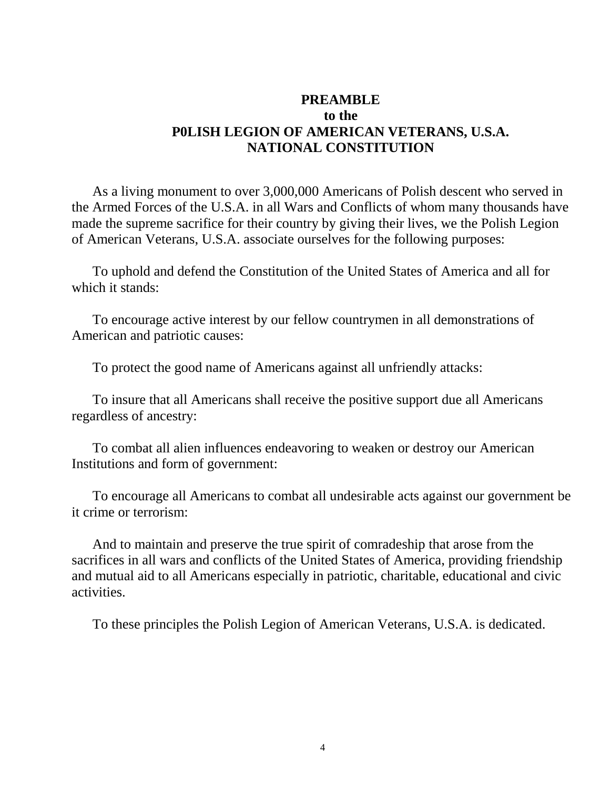# **PREAMBLE to the P0LISH LEGION OF AMERICAN VETERANS, U.S.A. NATIONAL CONSTITUTION**

 As a living monument to over 3,000,000 Americans of Polish descent who served in the Armed Forces of the U.S.A. in all Wars and Conflicts of whom many thousands have made the supreme sacrifice for their country by giving their lives, we the Polish Legion of American Veterans, U.S.A. associate ourselves for the following purposes:

 To uphold and defend the Constitution of the United States of America and all for which it stands:

 To encourage active interest by our fellow countrymen in all demonstrations of American and patriotic causes:

To protect the good name of Americans against all unfriendly attacks:

 To insure that all Americans shall receive the positive support due all Americans regardless of ancestry:

 To combat all alien influences endeavoring to weaken or destroy our American Institutions and form of government:

 To encourage all Americans to combat all undesirable acts against our government be it crime or terrorism:

 And to maintain and preserve the true spirit of comradeship that arose from the sacrifices in all wars and conflicts of the United States of America, providing friendship and mutual aid to all Americans especially in patriotic, charitable, educational and civic activities.

To these principles the Polish Legion of American Veterans, U.S.A. is dedicated.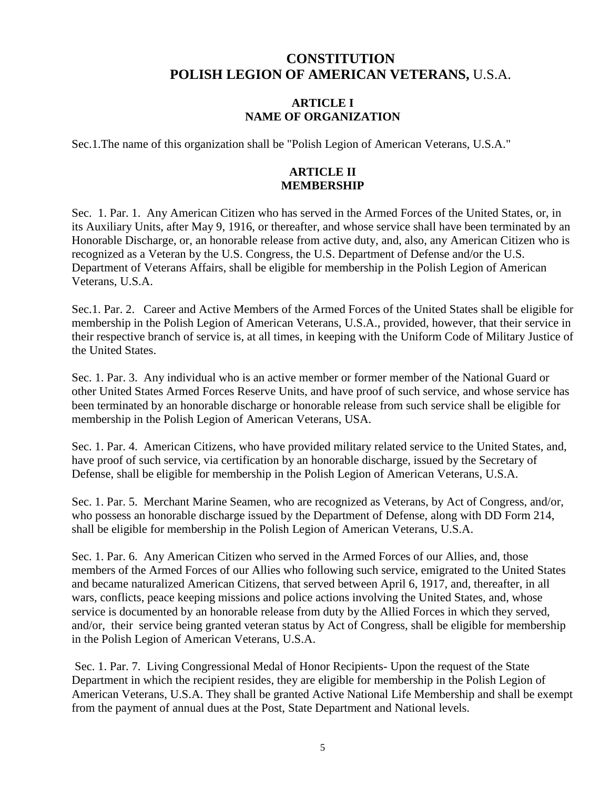# **CONSTITUTION POLISH LEGION OF AMERICAN VETERANS,** U.S.A.

#### **ARTICLE I NAME OF ORGANIZATION**

Sec.1.The name of this organization shall be "Polish Legion of American Veterans, U.S.A."

### **ARTICLE II MEMBERSHIP**

Sec. 1. Par. 1. Any American Citizen who has served in the Armed Forces of the United States, or, in its Auxiliary Units, after May 9, 1916, or thereafter, and whose service shall have been terminated by an Honorable Discharge, or, an honorable release from active duty, and, also, any American Citizen who is recognized as a Veteran by the U.S. Congress, the U.S. Department of Defense and/or the U.S. Department of Veterans Affairs, shall be eligible for membership in the Polish Legion of American Veterans, U.S.A.

Sec.1. Par. 2. Career and Active Members of the Armed Forces of the United States shall be eligible for membership in the Polish Legion of American Veterans, U.S.A., provided, however, that their service in their respective branch of service is, at all times, in keeping with the Uniform Code of Military Justice of the United States.

Sec. 1. Par. 3. Any individual who is an active member or former member of the National Guard or other United States Armed Forces Reserve Units, and have proof of such service, and whose service has been terminated by an honorable discharge or honorable release from such service shall be eligible for membership in the Polish Legion of American Veterans, USA.

Sec. 1. Par. 4. American Citizens, who have provided military related service to the United States, and, have proof of such service, via certification by an honorable discharge, issued by the Secretary of Defense, shall be eligible for membership in the Polish Legion of American Veterans, U.S.A.

Sec. 1. Par. 5. Merchant Marine Seamen, who are recognized as Veterans, by Act of Congress, and/or, who possess an honorable discharge issued by the Department of Defense, along with DD Form 214, shall be eligible for membership in the Polish Legion of American Veterans, U.S.A.

Sec. 1. Par. 6. Any American Citizen who served in the Armed Forces of our Allies, and, those members of the Armed Forces of our Allies who following such service, emigrated to the United States and became naturalized American Citizens, that served between April 6, 1917, and, thereafter, in all wars, conflicts, peace keeping missions and police actions involving the United States, and, whose service is documented by an honorable release from duty by the Allied Forces in which they served, and/or, their service being granted veteran status by Act of Congress, shall be eligible for membership in the Polish Legion of American Veterans, U.S.A.

Sec. 1. Par. 7. Living Congressional Medal of Honor Recipients- Upon the request of the State Department in which the recipient resides, they are eligible for membership in the Polish Legion of American Veterans, U.S.A. They shall be granted Active National Life Membership and shall be exempt from the payment of annual dues at the Post, State Department and National levels.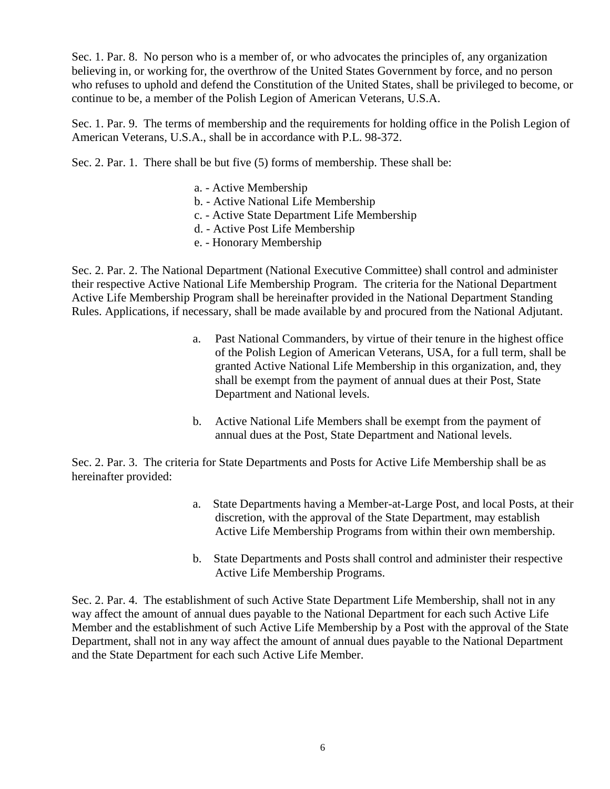Sec. 1. Par. 8. No person who is a member of, or who advocates the principles of, any organization believing in, or working for, the overthrow of the United States Government by force, and no person who refuses to uphold and defend the Constitution of the United States, shall be privileged to become, or continue to be, a member of the Polish Legion of American Veterans, U.S.A.

Sec. 1. Par. 9. The terms of membership and the requirements for holding office in the Polish Legion of American Veterans, U.S.A., shall be in accordance with P.L. 98-372.

Sec. 2. Par. 1. There shall be but five (5) forms of membership. These shall be:

- a. Active Membership
- b. Active National Life Membership
- c. Active State Department Life Membership
- d. Active Post Life Membership
- e. Honorary Membership

Sec. 2. Par. 2. The National Department (National Executive Committee) shall control and administer their respective Active National Life Membership Program. The criteria for the National Department Active Life Membership Program shall be hereinafter provided in the National Department Standing Rules. Applications, if necessary, shall be made available by and procured from the National Adjutant.

- a. Past National Commanders, by virtue of their tenure in the highest office of the Polish Legion of American Veterans, USA, for a full term, shall be granted Active National Life Membership in this organization, and, they shall be exempt from the payment of annual dues at their Post, State Department and National levels.
- b. Active National Life Members shall be exempt from the payment of annual dues at the Post, State Department and National levels.

Sec. 2. Par. 3. The criteria for State Departments and Posts for Active Life Membership shall be as hereinafter provided:

- a. State Departments having a Member-at-Large Post, and local Posts, at their discretion, with the approval of the State Department, may establish Active Life Membership Programs from within their own membership.
- b. State Departments and Posts shall control and administer their respective Active Life Membership Programs.

Sec. 2. Par. 4. The establishment of such Active State Department Life Membership, shall not in any way affect the amount of annual dues payable to the National Department for each such Active Life Member and the establishment of such Active Life Membership by a Post with the approval of the State Department, shall not in any way affect the amount of annual dues payable to the National Department and the State Department for each such Active Life Member.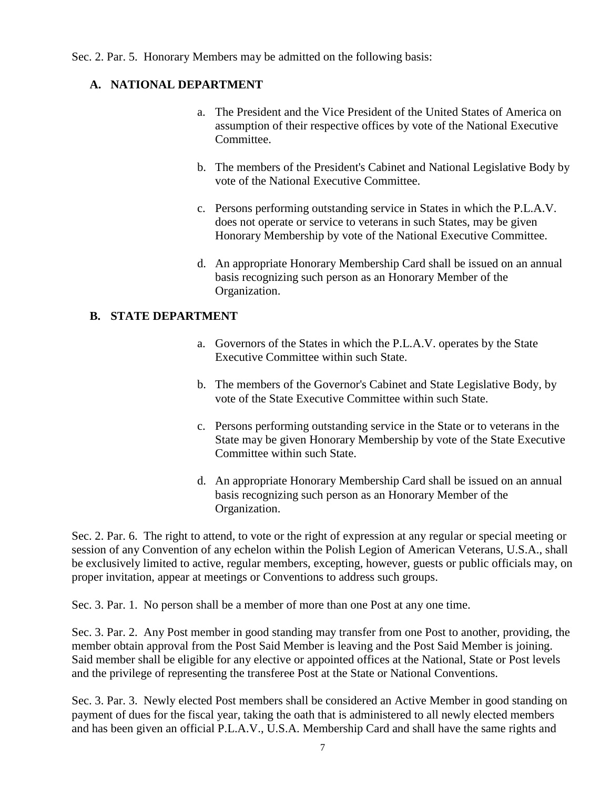Sec. 2. Par. 5. Honorary Members may be admitted on the following basis:

# **A. NATIONAL DEPARTMENT**

- a. The President and the Vice President of the United States of America on assumption of their respective offices by vote of the National Executive Committee.
- b. The members of the President's Cabinet and National Legislative Body by vote of the National Executive Committee.
- c. Persons performing outstanding service in States in which the P.L.A.V. does not operate or service to veterans in such States, may be given Honorary Membership by vote of the National Executive Committee.
- d. An appropriate Honorary Membership Card shall be issued on an annual basis recognizing such person as an Honorary Member of the Organization.

#### **B. STATE DEPARTMENT**

- a. Governors of the States in which the P.L.A.V. operates by the State Executive Committee within such State.
- b. The members of the Governor's Cabinet and State Legislative Body, by vote of the State Executive Committee within such State.
- c. Persons performing outstanding service in the State or to veterans in the State may be given Honorary Membership by vote of the State Executive Committee within such State.
- d. An appropriate Honorary Membership Card shall be issued on an annual basis recognizing such person as an Honorary Member of the Organization.

Sec. 2. Par. 6. The right to attend, to vote or the right of expression at any regular or special meeting or session of any Convention of any echelon within the Polish Legion of American Veterans, U.S.A., shall be exclusively limited to active, regular members, excepting, however, guests or public officials may, on proper invitation, appear at meetings or Conventions to address such groups.

Sec. 3. Par. 1. No person shall be a member of more than one Post at any one time.

Sec. 3. Par. 2. Any Post member in good standing may transfer from one Post to another, providing, the member obtain approval from the Post Said Member is leaving and the Post Said Member is joining. Said member shall be eligible for any elective or appointed offices at the National, State or Post levels and the privilege of representing the transferee Post at the State or National Conventions.

Sec. 3. Par. 3. Newly elected Post members shall be considered an Active Member in good standing on payment of dues for the fiscal year, taking the oath that is administered to all newly elected members and has been given an official P.L.A.V., U.S.A. Membership Card and shall have the same rights and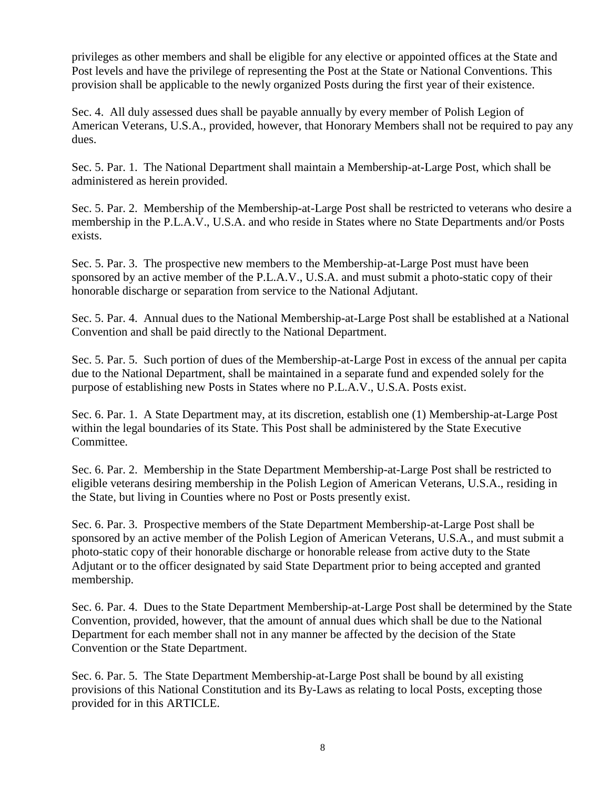privileges as other members and shall be eligible for any elective or appointed offices at the State and Post levels and have the privilege of representing the Post at the State or National Conventions. This provision shall be applicable to the newly organized Posts during the first year of their existence.

Sec. 4. All duly assessed dues shall be payable annually by every member of Polish Legion of American Veterans, U.S.A., provided, however, that Honorary Members shall not be required to pay any dues.

Sec. 5. Par. 1. The National Department shall maintain a Membership-at-Large Post, which shall be administered as herein provided.

Sec. 5. Par. 2. Membership of the Membership-at-Large Post shall be restricted to veterans who desire a membership in the P.L.A.V., U.S.A. and who reside in States where no State Departments and/or Posts exists.

Sec. 5. Par. 3. The prospective new members to the Membership-at-Large Post must have been sponsored by an active member of the P.L.A.V., U.S.A. and must submit a photo-static copy of their honorable discharge or separation from service to the National Adjutant.

Sec. 5. Par. 4. Annual dues to the National Membership-at-Large Post shall be established at a National Convention and shall be paid directly to the National Department.

Sec. 5. Par. 5. Such portion of dues of the Membership-at-Large Post in excess of the annual per capita due to the National Department, shall be maintained in a separate fund and expended solely for the purpose of establishing new Posts in States where no P.L.A.V., U.S.A. Posts exist.

Sec. 6. Par. 1. A State Department may, at its discretion, establish one (1) Membership-at-Large Post within the legal boundaries of its State. This Post shall be administered by the State Executive Committee.

Sec. 6. Par. 2. Membership in the State Department Membership-at-Large Post shall be restricted to eligible veterans desiring membership in the Polish Legion of American Veterans, U.S.A., residing in the State, but living in Counties where no Post or Posts presently exist.

Sec. 6. Par. 3. Prospective members of the State Department Membership-at-Large Post shall be sponsored by an active member of the Polish Legion of American Veterans, U.S.A., and must submit a photo-static copy of their honorable discharge or honorable release from active duty to the State Adjutant or to the officer designated by said State Department prior to being accepted and granted membership.

Sec. 6. Par. 4. Dues to the State Department Membership-at-Large Post shall be determined by the State Convention, provided, however, that the amount of annual dues which shall be due to the National Department for each member shall not in any manner be affected by the decision of the State Convention or the State Department.

Sec. 6. Par. 5. The State Department Membership-at-Large Post shall be bound by all existing provisions of this National Constitution and its By-Laws as relating to local Posts, excepting those provided for in this ARTICLE.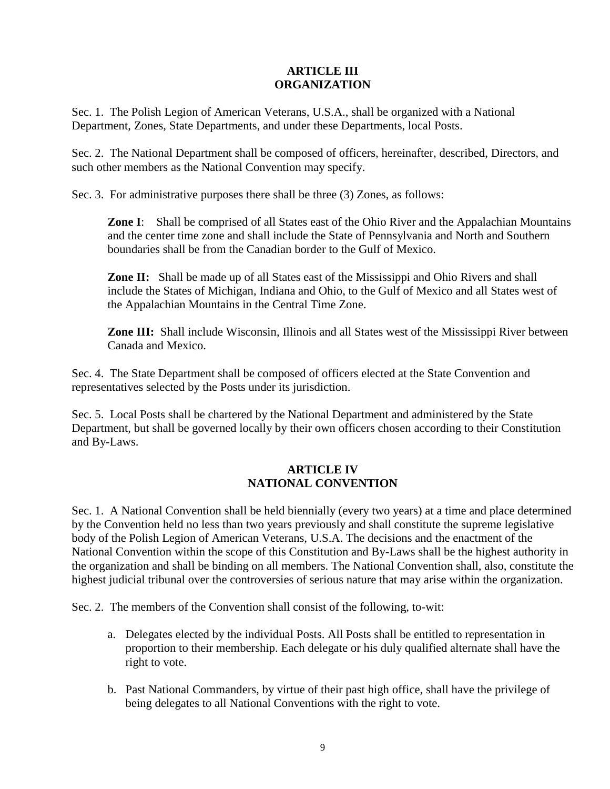# **ARTICLE III ORGANIZATION**

Sec. 1. The Polish Legion of American Veterans, U.S.A., shall be organized with a National Department, Zones, State Departments, and under these Departments, local Posts.

Sec. 2. The National Department shall be composed of officers, hereinafter, described, Directors, and such other members as the National Convention may specify.

Sec. 3. For administrative purposes there shall be three (3) Zones, as follows:

**Zone I**: Shall be comprised of all States east of the Ohio River and the Appalachian Mountains and the center time zone and shall include the State of Pennsylvania and North and Southern boundaries shall be from the Canadian border to the Gulf of Mexico.

**Zone II:** Shall be made up of all States east of the Mississippi and Ohio Rivers and shall include the States of Michigan, Indiana and Ohio, to the Gulf of Mexico and all States west of the Appalachian Mountains in the Central Time Zone.

**Zone III:** Shall include Wisconsin, Illinois and all States west of the Mississippi River between Canada and Mexico.

Sec. 4. The State Department shall be composed of officers elected at the State Convention and representatives selected by the Posts under its jurisdiction.

Sec. 5. Local Posts shall be chartered by the National Department and administered by the State Department, but shall be governed locally by their own officers chosen according to their Constitution and By-Laws.

#### **ARTICLE IV NATIONAL CONVENTION**

Sec. 1. A National Convention shall be held biennially (every two years) at a time and place determined by the Convention held no less than two years previously and shall constitute the supreme legislative body of the Polish Legion of American Veterans, U.S.A. The decisions and the enactment of the National Convention within the scope of this Constitution and By-Laws shall be the highest authority in the organization and shall be binding on all members. The National Convention shall, also, constitute the highest judicial tribunal over the controversies of serious nature that may arise within the organization.

Sec. 2. The members of the Convention shall consist of the following, to-wit:

- a. Delegates elected by the individual Posts. All Posts shall be entitled to representation in proportion to their membership. Each delegate or his duly qualified alternate shall have the right to vote.
- b. Past National Commanders, by virtue of their past high office, shall have the privilege of being delegates to all National Conventions with the right to vote.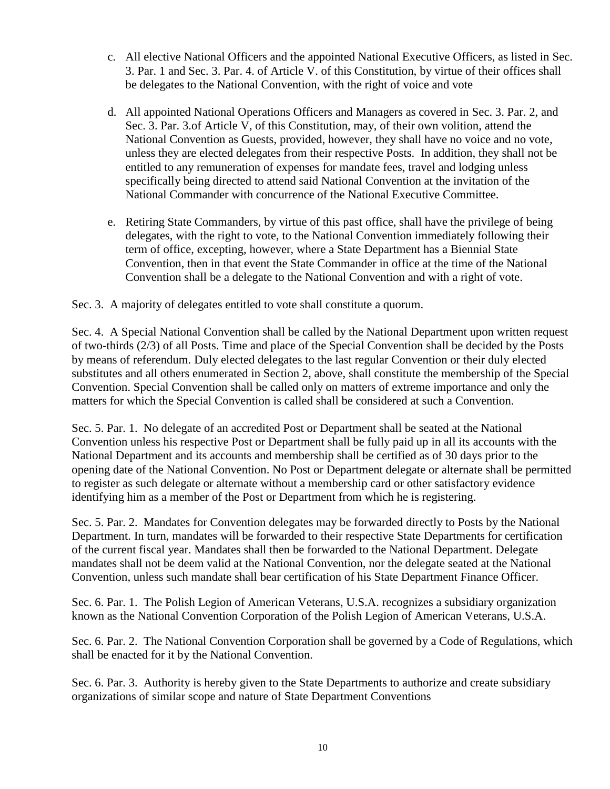- c. All elective National Officers and the appointed National Executive Officers, as listed in Sec. 3. Par. 1 and Sec. 3. Par. 4. of Article V. of this Constitution, by virtue of their offices shall be delegates to the National Convention, with the right of voice and vote
- d. All appointed National Operations Officers and Managers as covered in Sec. 3. Par. 2, and Sec. 3. Par. 3.of Article V, of this Constitution, may, of their own volition, attend the National Convention as Guests, provided, however, they shall have no voice and no vote, unless they are elected delegates from their respective Posts. In addition, they shall not be entitled to any remuneration of expenses for mandate fees, travel and lodging unless specifically being directed to attend said National Convention at the invitation of the National Commander with concurrence of the National Executive Committee.
- e. Retiring State Commanders, by virtue of this past office, shall have the privilege of being delegates, with the right to vote, to the National Convention immediately following their term of office, excepting, however, where a State Department has a Biennial State Convention, then in that event the State Commander in office at the time of the National Convention shall be a delegate to the National Convention and with a right of vote.

Sec. 3. A majority of delegates entitled to vote shall constitute a quorum.

Sec. 4. A Special National Convention shall be called by the National Department upon written request of two-thirds (2/3) of all Posts. Time and place of the Special Convention shall be decided by the Posts by means of referendum. Duly elected delegates to the last regular Convention or their duly elected substitutes and all others enumerated in Section 2, above, shall constitute the membership of the Special Convention. Special Convention shall be called only on matters of extreme importance and only the matters for which the Special Convention is called shall be considered at such a Convention.

Sec. 5. Par. 1. No delegate of an accredited Post or Department shall be seated at the National Convention unless his respective Post or Department shall be fully paid up in all its accounts with the National Department and its accounts and membership shall be certified as of 30 days prior to the opening date of the National Convention. No Post or Department delegate or alternate shall be permitted to register as such delegate or alternate without a membership card or other satisfactory evidence identifying him as a member of the Post or Department from which he is registering.

Sec. 5. Par. 2. Mandates for Convention delegates may be forwarded directly to Posts by the National Department. In turn, mandates will be forwarded to their respective State Departments for certification of the current fiscal year. Mandates shall then be forwarded to the National Department. Delegate mandates shall not be deem valid at the National Convention, nor the delegate seated at the National Convention, unless such mandate shall bear certification of his State Department Finance Officer.

Sec. 6. Par. 1. The Polish Legion of American Veterans, U.S.A. recognizes a subsidiary organization known as the National Convention Corporation of the Polish Legion of American Veterans, U.S.A.

Sec. 6. Par. 2. The National Convention Corporation shall be governed by a Code of Regulations, which shall be enacted for it by the National Convention.

Sec. 6. Par. 3. Authority is hereby given to the State Departments to authorize and create subsidiary organizations of similar scope and nature of State Department Conventions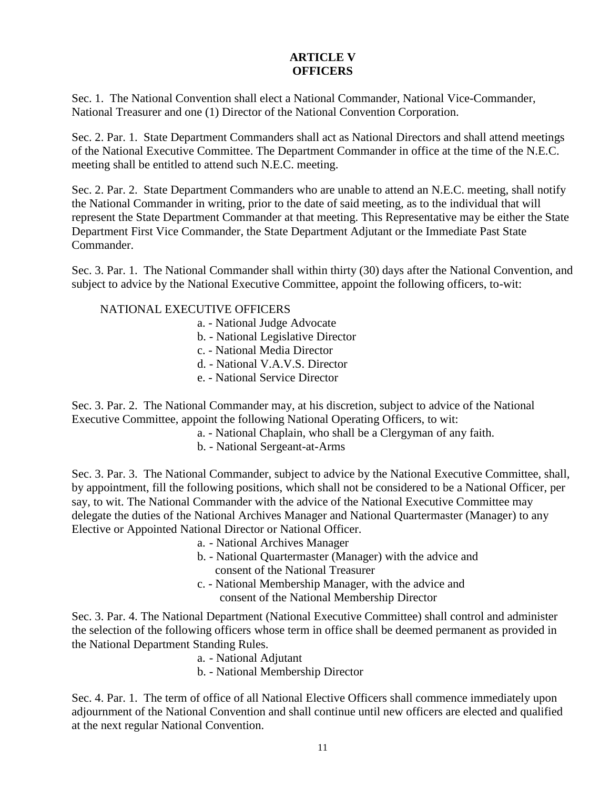#### **ARTICLE V OFFICERS**

Sec. 1. The National Convention shall elect a National Commander, National Vice-Commander, National Treasurer and one (1) Director of the National Convention Corporation.

Sec. 2. Par. 1. State Department Commanders shall act as National Directors and shall attend meetings of the National Executive Committee. The Department Commander in office at the time of the N.E.C. meeting shall be entitled to attend such N.E.C. meeting.

Sec. 2. Par. 2. State Department Commanders who are unable to attend an N.E.C. meeting, shall notify the National Commander in writing, prior to the date of said meeting, as to the individual that will represent the State Department Commander at that meeting. This Representative may be either the State Department First Vice Commander, the State Department Adjutant or the Immediate Past State Commander.

Sec. 3. Par. 1. The National Commander shall within thirty (30) days after the National Convention, and subject to advice by the National Executive Committee, appoint the following officers, to-wit:

### NATIONAL EXECUTIVE OFFICERS

- a. National Judge Advocate
- b. National Legislative Director
- c. National Media Director
- d. National V.A.V.S. Director
- e. National Service Director

Sec. 3. Par. 2. The National Commander may, at his discretion, subject to advice of the National Executive Committee, appoint the following National Operating Officers, to wit:

- a. National Chaplain, who shall be a Clergyman of any faith.
- b. National Sergeant-at-Arms

Sec. 3. Par. 3. The National Commander, subject to advice by the National Executive Committee, shall, by appointment, fill the following positions, which shall not be considered to be a National Officer, per say, to wit. The National Commander with the advice of the National Executive Committee may delegate the duties of the National Archives Manager and National Quartermaster (Manager) to any Elective or Appointed National Director or National Officer.

- a. National Archives Manager
- b. National Quartermaster (Manager) with the advice and consent of the National Treasurer
- c. National Membership Manager, with the advice and consent of the National Membership Director

Sec. 3. Par. 4. The National Department (National Executive Committee) shall control and administer the selection of the following officers whose term in office shall be deemed permanent as provided in the National Department Standing Rules.

- a. National Adjutant
- b. National Membership Director

Sec. 4. Par. 1. The term of office of all National Elective Officers shall commence immediately upon adjournment of the National Convention and shall continue until new officers are elected and qualified at the next regular National Convention.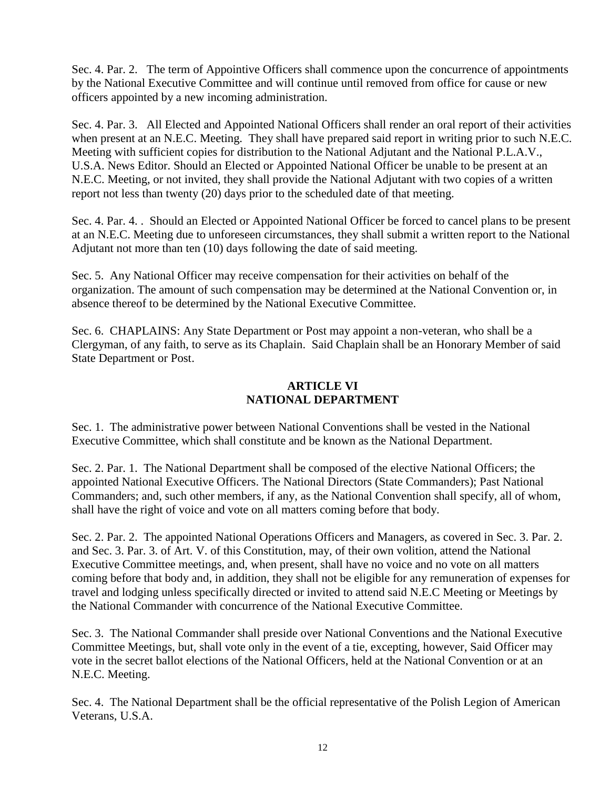Sec. 4. Par. 2. The term of Appointive Officers shall commence upon the concurrence of appointments by the National Executive Committee and will continue until removed from office for cause or new officers appointed by a new incoming administration.

Sec. 4. Par. 3. All Elected and Appointed National Officers shall render an oral report of their activities when present at an N.E.C. Meeting. They shall have prepared said report in writing prior to such N.E.C. Meeting with sufficient copies for distribution to the National Adjutant and the National P.L.A.V., U.S.A. News Editor. Should an Elected or Appointed National Officer be unable to be present at an N.E.C. Meeting, or not invited, they shall provide the National Adjutant with two copies of a written report not less than twenty (20) days prior to the scheduled date of that meeting.

Sec. 4. Par. 4. . Should an Elected or Appointed National Officer be forced to cancel plans to be present at an N.E.C. Meeting due to unforeseen circumstances, they shall submit a written report to the National Adjutant not more than ten (10) days following the date of said meeting.

Sec. 5. Any National Officer may receive compensation for their activities on behalf of the organization. The amount of such compensation may be determined at the National Convention or, in absence thereof to be determined by the National Executive Committee.

Sec. 6. CHAPLAINS: Any State Department or Post may appoint a non-veteran, who shall be a Clergyman, of any faith, to serve as its Chaplain. Said Chaplain shall be an Honorary Member of said State Department or Post.

# **ARTICLE VI NATIONAL DEPARTMENT**

Sec. 1. The administrative power between National Conventions shall be vested in the National Executive Committee, which shall constitute and be known as the National Department.

Sec. 2. Par. 1. The National Department shall be composed of the elective National Officers; the appointed National Executive Officers. The National Directors (State Commanders); Past National Commanders; and, such other members, if any, as the National Convention shall specify, all of whom, shall have the right of voice and vote on all matters coming before that body.

Sec. 2. Par. 2. The appointed National Operations Officers and Managers, as covered in Sec. 3. Par. 2. and Sec. 3. Par. 3. of Art. V. of this Constitution, may, of their own volition, attend the National Executive Committee meetings, and, when present, shall have no voice and no vote on all matters coming before that body and, in addition, they shall not be eligible for any remuneration of expenses for travel and lodging unless specifically directed or invited to attend said N.E.C Meeting or Meetings by the National Commander with concurrence of the National Executive Committee.

Sec. 3. The National Commander shall preside over National Conventions and the National Executive Committee Meetings, but, shall vote only in the event of a tie, excepting, however, Said Officer may vote in the secret ballot elections of the National Officers, held at the National Convention or at an N.E.C. Meeting.

Sec. 4. The National Department shall be the official representative of the Polish Legion of American Veterans, U.S.A.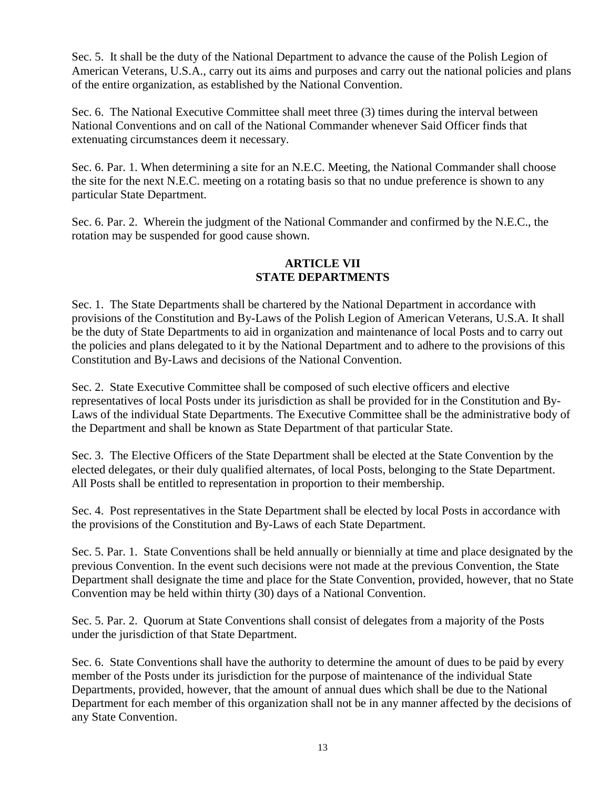Sec. 5. It shall be the duty of the National Department to advance the cause of the Polish Legion of American Veterans, U.S.A., carry out its aims and purposes and carry out the national policies and plans of the entire organization, as established by the National Convention.

Sec. 6. The National Executive Committee shall meet three (3) times during the interval between National Conventions and on call of the National Commander whenever Said Officer finds that extenuating circumstances deem it necessary.

Sec. 6. Par. 1. When determining a site for an N.E.C. Meeting, the National Commander shall choose the site for the next N.E.C. meeting on a rotating basis so that no undue preference is shown to any particular State Department.

Sec. 6. Par. 2. Wherein the judgment of the National Commander and confirmed by the N.E.C., the rotation may be suspended for good cause shown.

### **ARTICLE VII STATE DEPARTMENTS**

Sec. 1. The State Departments shall be chartered by the National Department in accordance with provisions of the Constitution and By-Laws of the Polish Legion of American Veterans, U.S.A. It shall be the duty of State Departments to aid in organization and maintenance of local Posts and to carry out the policies and plans delegated to it by the National Department and to adhere to the provisions of this Constitution and By-Laws and decisions of the National Convention.

Sec. 2. State Executive Committee shall be composed of such elective officers and elective representatives of local Posts under its jurisdiction as shall be provided for in the Constitution and By-Laws of the individual State Departments. The Executive Committee shall be the administrative body of the Department and shall be known as State Department of that particular State.

Sec. 3. The Elective Officers of the State Department shall be elected at the State Convention by the elected delegates, or their duly qualified alternates, of local Posts, belonging to the State Department. All Posts shall be entitled to representation in proportion to their membership.

Sec. 4. Post representatives in the State Department shall be elected by local Posts in accordance with the provisions of the Constitution and By-Laws of each State Department.

Sec. 5. Par. 1. State Conventions shall be held annually or biennially at time and place designated by the previous Convention. In the event such decisions were not made at the previous Convention, the State Department shall designate the time and place for the State Convention, provided, however, that no State Convention may be held within thirty (30) days of a National Convention.

Sec. 5. Par. 2. Quorum at State Conventions shall consist of delegates from a majority of the Posts under the jurisdiction of that State Department.

Sec. 6. State Conventions shall have the authority to determine the amount of dues to be paid by every member of the Posts under its jurisdiction for the purpose of maintenance of the individual State Departments, provided, however, that the amount of annual dues which shall be due to the National Department for each member of this organization shall not be in any manner affected by the decisions of any State Convention.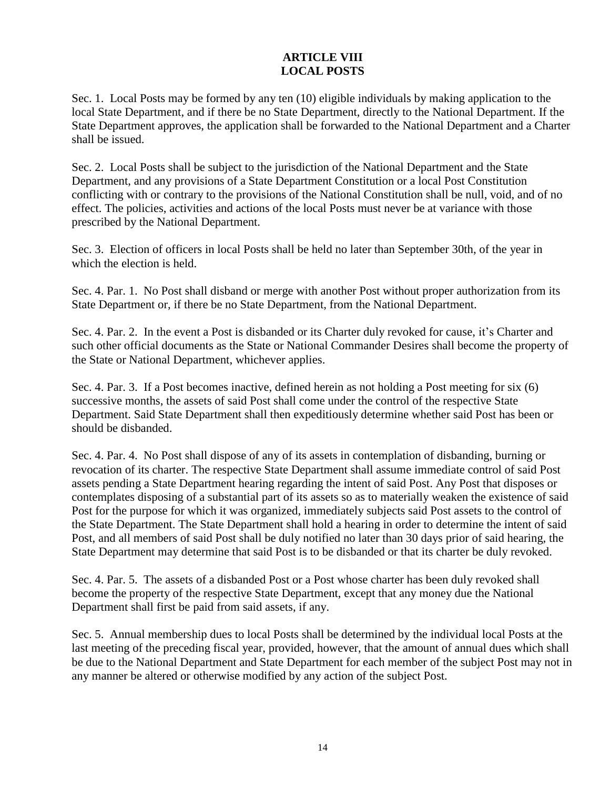### **ARTICLE VIII LOCAL POSTS**

Sec. 1. Local Posts may be formed by any ten (10) eligible individuals by making application to the local State Department, and if there be no State Department, directly to the National Department. If the State Department approves, the application shall be forwarded to the National Department and a Charter shall be issued.

Sec. 2. Local Posts shall be subject to the jurisdiction of the National Department and the State Department, and any provisions of a State Department Constitution or a local Post Constitution conflicting with or contrary to the provisions of the National Constitution shall be null, void, and of no effect. The policies, activities and actions of the local Posts must never be at variance with those prescribed by the National Department.

Sec. 3. Election of officers in local Posts shall be held no later than September 30th, of the year in which the election is held.

Sec. 4. Par. 1. No Post shall disband or merge with another Post without proper authorization from its State Department or, if there be no State Department, from the National Department.

Sec. 4. Par. 2. In the event a Post is disbanded or its Charter duly revoked for cause, it's Charter and such other official documents as the State or National Commander Desires shall become the property of the State or National Department, whichever applies.

Sec. 4. Par. 3. If a Post becomes inactive, defined herein as not holding a Post meeting for six (6) successive months, the assets of said Post shall come under the control of the respective State Department. Said State Department shall then expeditiously determine whether said Post has been or should be disbanded.

Sec. 4. Par. 4. No Post shall dispose of any of its assets in contemplation of disbanding, burning or revocation of its charter. The respective State Department shall assume immediate control of said Post assets pending a State Department hearing regarding the intent of said Post. Any Post that disposes or contemplates disposing of a substantial part of its assets so as to materially weaken the existence of said Post for the purpose for which it was organized, immediately subjects said Post assets to the control of the State Department. The State Department shall hold a hearing in order to determine the intent of said Post, and all members of said Post shall be duly notified no later than 30 days prior of said hearing, the State Department may determine that said Post is to be disbanded or that its charter be duly revoked.

Sec. 4. Par. 5. The assets of a disbanded Post or a Post whose charter has been duly revoked shall become the property of the respective State Department, except that any money due the National Department shall first be paid from said assets, if any.

Sec. 5. Annual membership dues to local Posts shall be determined by the individual local Posts at the last meeting of the preceding fiscal year, provided, however, that the amount of annual dues which shall be due to the National Department and State Department for each member of the subject Post may not in any manner be altered or otherwise modified by any action of the subject Post.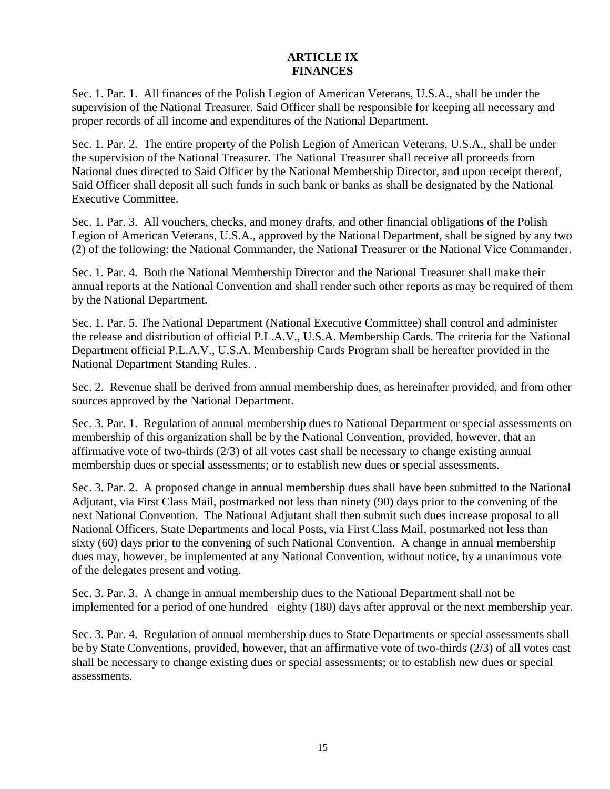#### **ARTICLE IX FINANCES**

Sec. 1. Par. 1. All finances of the Polish Legion of American Veterans, U.S.A., shall be under the supervision of the National Treasurer. Said Officer shall be responsible for keeping all necessary and proper records of all income and expenditures of the National Department.

Sec. 1. Par. 2. The entire property of the Polish Legion of American Veterans, U.S.A., shall be under the supervision of the National Treasurer. The National Treasurer shall receive all proceeds from National dues directed to Said Officer by the National Membership Director, and upon receipt thereof, Said Officer shall deposit all such funds in such bank or banks as shall be designated by the National Executive Committee.

Sec. 1. Par. 3. All vouchers, checks, and money drafts, and other financial obligations of the Polish Legion of American Veterans, U.S.A., approved by the National Department, shall be signed by any two (2) of the following: the National Commander, the National Treasurer or the National Vice Commander.

Sec. 1. Par. 4. Both the National Membership Director and the National Treasurer shall make their annual reports at the National Convention and shall render such other reports as may be required of them by the National Department.

Sec. 1. Par. 5. The National Department (National Executive Committee) shall control and administer the release and distribution of official P.L.A.V., U.S.A. Membership Cards. The criteria for the National Department official P.L.A.V., U.S.A. Membership Cards Program shall be hereafter provided in the National Department Standing Rules. .

Sec. 2. Revenue shall be derived from annual membership dues, as hereinafter provided, and from other sources approved by the National Department.

Sec. 3. Par. 1. Regulation of annual membership dues to National Department or special assessments on membership of this organization shall be by the National Convention, provided, however, that an affirmative vote of two-thirds (2/3) of all votes cast shall be necessary to change existing annual membership dues or special assessments; or to establish new dues or special assessments.

Sec. 3. Par. 2. A proposed change in annual membership dues shall have been submitted to the National Adjutant, via First Class Mail, postmarked not less than ninety (90) days prior to the convening of the next National Convention. The National Adjutant shall then submit such dues increase proposal to all National Officers, State Departments and local Posts, via First Class Mail, postmarked not less than sixty (60) days prior to the convening of such National Convention. A change in annual membership dues may, however, be implemented at any National Convention, without notice, by a unanimous vote of the delegates present and voting.

Sec. 3. Par. 3. A change in annual membership dues to the National Department shall not be implemented for a period of one hundred –eighty (180) days after approval or the next membership year.

Sec. 3. Par. 4. Regulation of annual membership dues to State Departments or special assessments shall be by State Conventions, provided, however, that an affirmative vote of two-thirds (2/3) of all votes cast shall be necessary to change existing dues or special assessments; or to establish new dues or special assessments.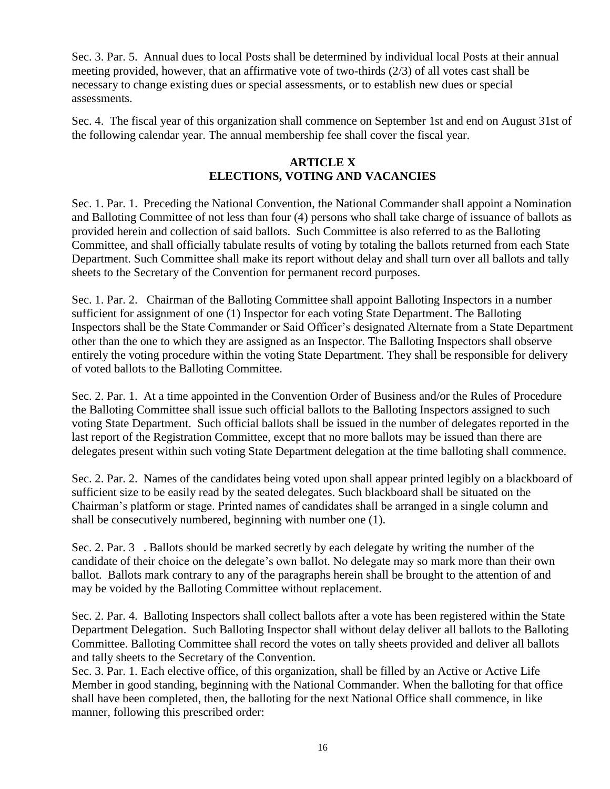Sec. 3. Par. 5. Annual dues to local Posts shall be determined by individual local Posts at their annual meeting provided, however, that an affirmative vote of two-thirds (2/3) of all votes cast shall be necessary to change existing dues or special assessments, or to establish new dues or special assessments.

Sec. 4. The fiscal year of this organization shall commence on September 1st and end on August 31st of the following calendar year. The annual membership fee shall cover the fiscal year.

### **ARTICLE X ELECTIONS, VOTING AND VACANCIES**

Sec. 1. Par. 1. Preceding the National Convention, the National Commander shall appoint a Nomination and Balloting Committee of not less than four (4) persons who shall take charge of issuance of ballots as provided herein and collection of said ballots. Such Committee is also referred to as the Balloting Committee, and shall officially tabulate results of voting by totaling the ballots returned from each State Department. Such Committee shall make its report without delay and shall turn over all ballots and tally sheets to the Secretary of the Convention for permanent record purposes.

Sec. 1. Par. 2. Chairman of the Balloting Committee shall appoint Balloting Inspectors in a number sufficient for assignment of one (1) Inspector for each voting State Department. The Balloting Inspectors shall be the State Commander or Said Officer's designated Alternate from a State Department other than the one to which they are assigned as an Inspector. The Balloting Inspectors shall observe entirely the voting procedure within the voting State Department. They shall be responsible for delivery of voted ballots to the Balloting Committee.

Sec. 2. Par. 1. At a time appointed in the Convention Order of Business and/or the Rules of Procedure the Balloting Committee shall issue such official ballots to the Balloting Inspectors assigned to such voting State Department. Such official ballots shall be issued in the number of delegates reported in the last report of the Registration Committee, except that no more ballots may be issued than there are delegates present within such voting State Department delegation at the time balloting shall commence.

Sec. 2. Par. 2. Names of the candidates being voted upon shall appear printed legibly on a blackboard of sufficient size to be easily read by the seated delegates. Such blackboard shall be situated on the Chairman's platform or stage. Printed names of candidates shall be arranged in a single column and shall be consecutively numbered, beginning with number one (1).

Sec. 2. Par. 3 . Ballots should be marked secretly by each delegate by writing the number of the candidate of their choice on the delegate's own ballot. No delegate may so mark more than their own ballot. Ballots mark contrary to any of the paragraphs herein shall be brought to the attention of and may be voided by the Balloting Committee without replacement.

Sec. 2. Par. 4. Balloting Inspectors shall collect ballots after a vote has been registered within the State Department Delegation. Such Balloting Inspector shall without delay deliver all ballots to the Balloting Committee. Balloting Committee shall record the votes on tally sheets provided and deliver all ballots and tally sheets to the Secretary of the Convention.

Sec. 3. Par. 1. Each elective office, of this organization, shall be filled by an Active or Active Life Member in good standing, beginning with the National Commander. When the balloting for that office shall have been completed, then, the balloting for the next National Office shall commence, in like manner, following this prescribed order: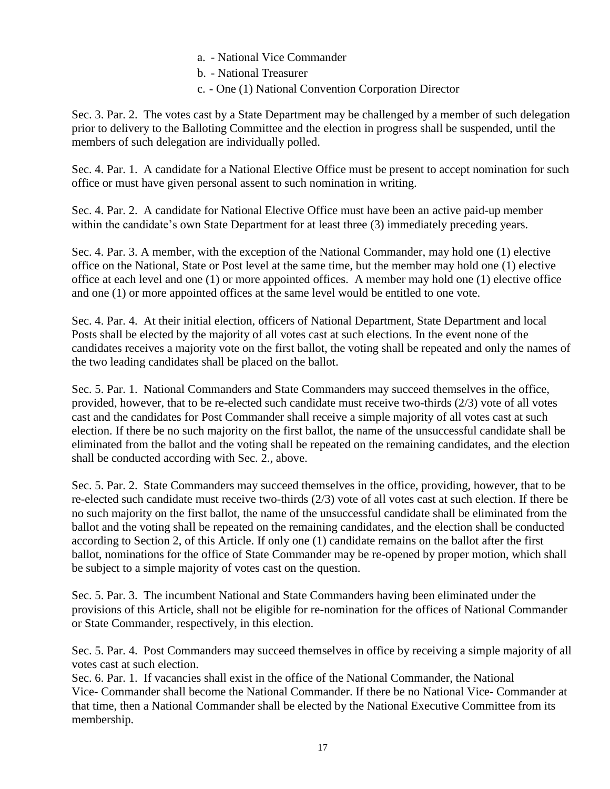### a. - National Vice Commander

b. - National Treasurer

c. - One (1) National Convention Corporation Director

Sec. 3. Par. 2. The votes cast by a State Department may be challenged by a member of such delegation prior to delivery to the Balloting Committee and the election in progress shall be suspended, until the members of such delegation are individually polled.

Sec. 4. Par. 1. A candidate for a National Elective Office must be present to accept nomination for such office or must have given personal assent to such nomination in writing.

Sec. 4. Par. 2. A candidate for National Elective Office must have been an active paid-up member within the candidate's own State Department for at least three (3) immediately preceding years.

Sec. 4. Par. 3. A member, with the exception of the National Commander, may hold one (1) elective office on the National, State or Post level at the same time, but the member may hold one (1) elective office at each level and one (1) or more appointed offices. A member may hold one (1) elective office and one (1) or more appointed offices at the same level would be entitled to one vote.

Sec. 4. Par. 4. At their initial election, officers of National Department, State Department and local Posts shall be elected by the majority of all votes cast at such elections. In the event none of the candidates receives a majority vote on the first ballot, the voting shall be repeated and only the names of the two leading candidates shall be placed on the ballot.

Sec. 5. Par. 1. National Commanders and State Commanders may succeed themselves in the office, provided, however, that to be re-elected such candidate must receive two-thirds (2/3) vote of all votes cast and the candidates for Post Commander shall receive a simple majority of all votes cast at such election. If there be no such majority on the first ballot, the name of the unsuccessful candidate shall be eliminated from the ballot and the voting shall be repeated on the remaining candidates, and the election shall be conducted according with Sec. 2., above.

Sec. 5. Par. 2. State Commanders may succeed themselves in the office, providing, however, that to be re-elected such candidate must receive two-thirds (2/3) vote of all votes cast at such election. If there be no such majority on the first ballot, the name of the unsuccessful candidate shall be eliminated from the ballot and the voting shall be repeated on the remaining candidates, and the election shall be conducted according to Section 2, of this Article. If only one (1) candidate remains on the ballot after the first ballot, nominations for the office of State Commander may be re-opened by proper motion, which shall be subject to a simple majority of votes cast on the question.

Sec. 5. Par. 3. The incumbent National and State Commanders having been eliminated under the provisions of this Article, shall not be eligible for re-nomination for the offices of National Commander or State Commander, respectively, in this election.

Sec. 5. Par. 4. Post Commanders may succeed themselves in office by receiving a simple majority of all votes cast at such election.

Sec. 6. Par. 1. If vacancies shall exist in the office of the National Commander, the National Vice- Commander shall become the National Commander. If there be no National Vice- Commander at that time, then a National Commander shall be elected by the National Executive Committee from its membership.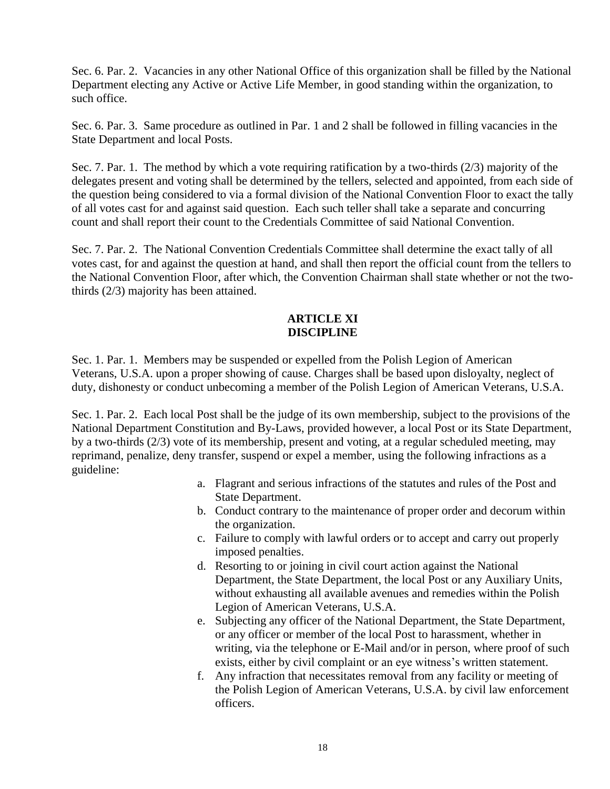Sec. 6. Par. 2. Vacancies in any other National Office of this organization shall be filled by the National Department electing any Active or Active Life Member, in good standing within the organization, to such office.

Sec. 6. Par. 3. Same procedure as outlined in Par. 1 and 2 shall be followed in filling vacancies in the State Department and local Posts.

Sec. 7. Par. 1. The method by which a vote requiring ratification by a two-thirds (2/3) majority of the delegates present and voting shall be determined by the tellers, selected and appointed, from each side of the question being considered to via a formal division of the National Convention Floor to exact the tally of all votes cast for and against said question. Each such teller shall take a separate and concurring count and shall report their count to the Credentials Committee of said National Convention.

Sec. 7. Par. 2. The National Convention Credentials Committee shall determine the exact tally of all votes cast, for and against the question at hand, and shall then report the official count from the tellers to the National Convention Floor, after which, the Convention Chairman shall state whether or not the twothirds (2/3) majority has been attained.

#### **ARTICLE XI DISCIPLINE**

Sec. 1. Par. 1. Members may be suspended or expelled from the Polish Legion of American Veterans, U.S.A. upon a proper showing of cause. Charges shall be based upon disloyalty, neglect of duty, dishonesty or conduct unbecoming a member of the Polish Legion of American Veterans, U.S.A.

Sec. 1. Par. 2. Each local Post shall be the judge of its own membership, subject to the provisions of the National Department Constitution and By-Laws, provided however, a local Post or its State Department, by a two-thirds (2/3) vote of its membership, present and voting, at a regular scheduled meeting, may reprimand, penalize, deny transfer, suspend or expel a member, using the following infractions as a guideline:

- a. Flagrant and serious infractions of the statutes and rules of the Post and State Department.
- b. Conduct contrary to the maintenance of proper order and decorum within the organization.
- c. Failure to comply with lawful orders or to accept and carry out properly imposed penalties.
- d. Resorting to or joining in civil court action against the National Department, the State Department, the local Post or any Auxiliary Units, without exhausting all available avenues and remedies within the Polish Legion of American Veterans, U.S.A.
- e. Subjecting any officer of the National Department, the State Department, or any officer or member of the local Post to harassment, whether in writing, via the telephone or E-Mail and/or in person, where proof of such exists, either by civil complaint or an eye witness's written statement.
- f. Any infraction that necessitates removal from any facility or meeting of the Polish Legion of American Veterans, U.S.A. by civil law enforcement officers.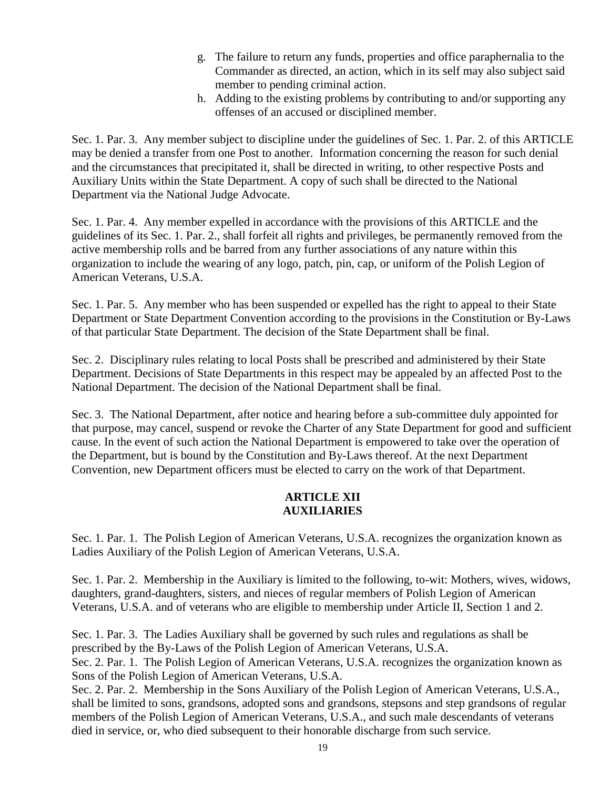- g. The failure to return any funds, properties and office paraphernalia to the Commander as directed, an action, which in its self may also subject said member to pending criminal action.
- h. Adding to the existing problems by contributing to and/or supporting any offenses of an accused or disciplined member.

Sec. 1. Par. 3. Any member subject to discipline under the guidelines of Sec. 1. Par. 2. of this ARTICLE may be denied a transfer from one Post to another. Information concerning the reason for such denial and the circumstances that precipitated it, shall be directed in writing, to other respective Posts and Auxiliary Units within the State Department. A copy of such shall be directed to the National Department via the National Judge Advocate.

Sec. 1. Par. 4. Any member expelled in accordance with the provisions of this ARTICLE and the guidelines of its Sec. 1. Par. 2., shall forfeit all rights and privileges, be permanently removed from the active membership rolls and be barred from any further associations of any nature within this organization to include the wearing of any logo, patch, pin, cap, or uniform of the Polish Legion of American Veterans, U.S.A.

Sec. 1. Par. 5. Any member who has been suspended or expelled has the right to appeal to their State Department or State Department Convention according to the provisions in the Constitution or By-Laws of that particular State Department. The decision of the State Department shall be final.

Sec. 2. Disciplinary rules relating to local Posts shall be prescribed and administered by their State Department. Decisions of State Departments in this respect may be appealed by an affected Post to the National Department. The decision of the National Department shall be final.

Sec. 3. The National Department, after notice and hearing before a sub-committee duly appointed for that purpose, may cancel, suspend or revoke the Charter of any State Department for good and sufficient cause. In the event of such action the National Department is empowered to take over the operation of the Department, but is bound by the Constitution and By-Laws thereof. At the next Department Convention, new Department officers must be elected to carry on the work of that Department.

#### **ARTICLE XII AUXILIARIES**

Sec. 1. Par. 1. The Polish Legion of American Veterans, U.S.A. recognizes the organization known as Ladies Auxiliary of the Polish Legion of American Veterans, U.S.A.

Sec. 1. Par. 2. Membership in the Auxiliary is limited to the following, to-wit: Mothers, wives, widows, daughters, grand-daughters, sisters, and nieces of regular members of Polish Legion of American Veterans, U.S.A. and of veterans who are eligible to membership under Article II, Section 1 and 2.

Sec. 1. Par. 3. The Ladies Auxiliary shall be governed by such rules and regulations as shall be prescribed by the By-Laws of the Polish Legion of American Veterans, U.S.A.

Sec. 2. Par. 1. The Polish Legion of American Veterans, U.S.A. recognizes the organization known as Sons of the Polish Legion of American Veterans, U.S.A.

Sec. 2. Par. 2. Membership in the Sons Auxiliary of the Polish Legion of American Veterans, U.S.A., shall be limited to sons, grandsons, adopted sons and grandsons, stepsons and step grandsons of regular members of the Polish Legion of American Veterans, U.S.A., and such male descendants of veterans died in service, or, who died subsequent to their honorable discharge from such service.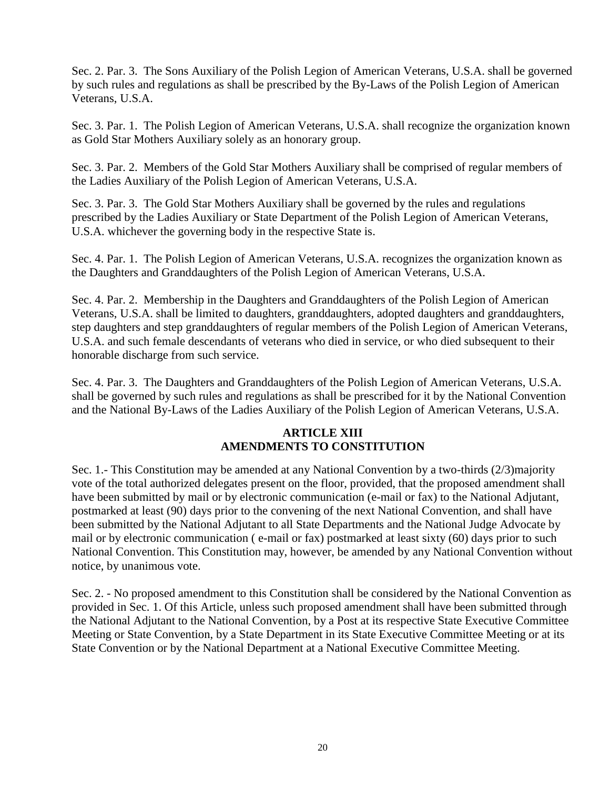Sec. 2. Par. 3. The Sons Auxiliary of the Polish Legion of American Veterans, U.S.A. shall be governed by such rules and regulations as shall be prescribed by the By-Laws of the Polish Legion of American Veterans, U.S.A.

Sec. 3. Par. 1. The Polish Legion of American Veterans, U.S.A. shall recognize the organization known as Gold Star Mothers Auxiliary solely as an honorary group.

Sec. 3. Par. 2. Members of the Gold Star Mothers Auxiliary shall be comprised of regular members of the Ladies Auxiliary of the Polish Legion of American Veterans, U.S.A.

Sec. 3. Par. 3. The Gold Star Mothers Auxiliary shall be governed by the rules and regulations prescribed by the Ladies Auxiliary or State Department of the Polish Legion of American Veterans, U.S.A. whichever the governing body in the respective State is.

Sec. 4. Par. 1. The Polish Legion of American Veterans, U.S.A. recognizes the organization known as the Daughters and Granddaughters of the Polish Legion of American Veterans, U.S.A.

Sec. 4. Par. 2. Membership in the Daughters and Granddaughters of the Polish Legion of American Veterans, U.S.A. shall be limited to daughters, granddaughters, adopted daughters and granddaughters, step daughters and step granddaughters of regular members of the Polish Legion of American Veterans, U.S.A. and such female descendants of veterans who died in service, or who died subsequent to their honorable discharge from such service.

Sec. 4. Par. 3. The Daughters and Granddaughters of the Polish Legion of American Veterans, U.S.A. shall be governed by such rules and regulations as shall be prescribed for it by the National Convention and the National By-Laws of the Ladies Auxiliary of the Polish Legion of American Veterans, U.S.A.

# **ARTICLE XIII AMENDMENTS TO CONSTITUTION**

Sec. 1.- This Constitution may be amended at any National Convention by a two-thirds (2/3)majority vote of the total authorized delegates present on the floor, provided, that the proposed amendment shall have been submitted by mail or by electronic communication (e-mail or fax) to the National Adjutant, postmarked at least (90) days prior to the convening of the next National Convention, and shall have been submitted by the National Adjutant to all State Departments and the National Judge Advocate by mail or by electronic communication ( e-mail or fax) postmarked at least sixty (60) days prior to such National Convention. This Constitution may, however, be amended by any National Convention without notice, by unanimous vote.

Sec. 2. - No proposed amendment to this Constitution shall be considered by the National Convention as provided in Sec. 1. Of this Article, unless such proposed amendment shall have been submitted through the National Adjutant to the National Convention, by a Post at its respective State Executive Committee Meeting or State Convention, by a State Department in its State Executive Committee Meeting or at its State Convention or by the National Department at a National Executive Committee Meeting.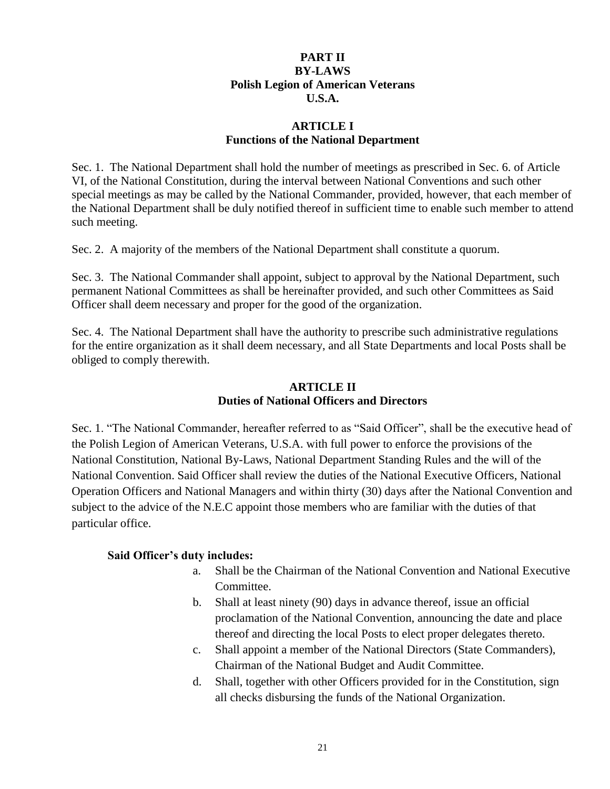## **PART II BY-LAWS Polish Legion of American Veterans U.S.A.**

### **ARTICLE I Functions of the National Department**

Sec. 1. The National Department shall hold the number of meetings as prescribed in Sec. 6. of Article VI, of the National Constitution, during the interval between National Conventions and such other special meetings as may be called by the National Commander, provided, however, that each member of the National Department shall be duly notified thereof in sufficient time to enable such member to attend such meeting.

Sec. 2. A majority of the members of the National Department shall constitute a quorum.

Sec. 3. The National Commander shall appoint, subject to approval by the National Department, such permanent National Committees as shall be hereinafter provided, and such other Committees as Said Officer shall deem necessary and proper for the good of the organization.

Sec. 4. The National Department shall have the authority to prescribe such administrative regulations for the entire organization as it shall deem necessary, and all State Departments and local Posts shall be obliged to comply therewith.

### **ARTICLE II Duties of National Officers and Directors**

Sec. 1. "The National Commander, hereafter referred to as "Said Officer", shall be the executive head of the Polish Legion of American Veterans, U.S.A. with full power to enforce the provisions of the National Constitution, National By-Laws, National Department Standing Rules and the will of the National Convention. Said Officer shall review the duties of the National Executive Officers, National Operation Officers and National Managers and within thirty (30) days after the National Convention and subject to the advice of the N.E.C appoint those members who are familiar with the duties of that particular office.

#### **Said Officer's duty includes:**

- a. Shall be the Chairman of the National Convention and National Executive Committee.
- b. Shall at least ninety (90) days in advance thereof, issue an official proclamation of the National Convention, announcing the date and place thereof and directing the local Posts to elect proper delegates thereto.
- c. Shall appoint a member of the National Directors (State Commanders), Chairman of the National Budget and Audit Committee.
- d. Shall, together with other Officers provided for in the Constitution, sign all checks disbursing the funds of the National Organization.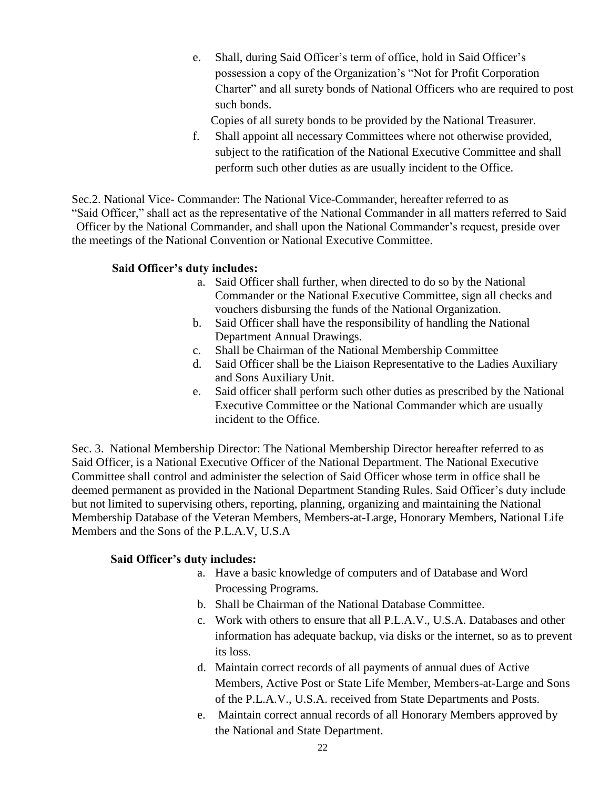e. Shall, during Said Officer's term of office, hold in Said Officer's possession a copy of the Organization's "Not for Profit Corporation Charter" and all surety bonds of National Officers who are required to post such bonds.

Copies of all surety bonds to be provided by the National Treasurer.

f. Shall appoint all necessary Committees where not otherwise provided, subject to the ratification of the National Executive Committee and shall perform such other duties as are usually incident to the Office.

Sec.2. National Vice- Commander: The National Vice-Commander, hereafter referred to as "Said Officer," shall act as the representative of the National Commander in all matters referred to Said Officer by the National Commander, and shall upon the National Commander's request, preside over the meetings of the National Convention or National Executive Committee.

### **Said Officer's duty includes:**

- a. Said Officer shall further, when directed to do so by the National Commander or the National Executive Committee, sign all checks and vouchers disbursing the funds of the National Organization.
- b. Said Officer shall have the responsibility of handling the National Department Annual Drawings.
- c. Shall be Chairman of the National Membership Committee
- d. Said Officer shall be the Liaison Representative to the Ladies Auxiliary and Sons Auxiliary Unit.
- e. Said officer shall perform such other duties as prescribed by the National Executive Committee or the National Commander which are usually incident to the Office.

Sec. 3. National Membership Director: The National Membership Director hereafter referred to as Said Officer, is a National Executive Officer of the National Department. The National Executive Committee shall control and administer the selection of Said Officer whose term in office shall be deemed permanent as provided in the National Department Standing Rules. Said Officer's duty include but not limited to supervising others, reporting, planning, organizing and maintaining the National Membership Database of the Veteran Members, Members-at-Large, Honorary Members, National Life Members and the Sons of the P.L.A.V, U.S.A

### **Said Officer's duty includes:**

- a. Have a basic knowledge of computers and of Database and Word Processing Programs.
- b. Shall be Chairman of the National Database Committee.
- c. Work with others to ensure that all P.L.A.V., U.S.A. Databases and other information has adequate backup, via disks or the internet, so as to prevent its loss.
- d. Maintain correct records of all payments of annual dues of Active Members, Active Post or State Life Member, Members-at-Large and Sons of the P.L.A.V., U.S.A. received from State Departments and Posts.
- e. Maintain correct annual records of all Honorary Members approved by the National and State Department.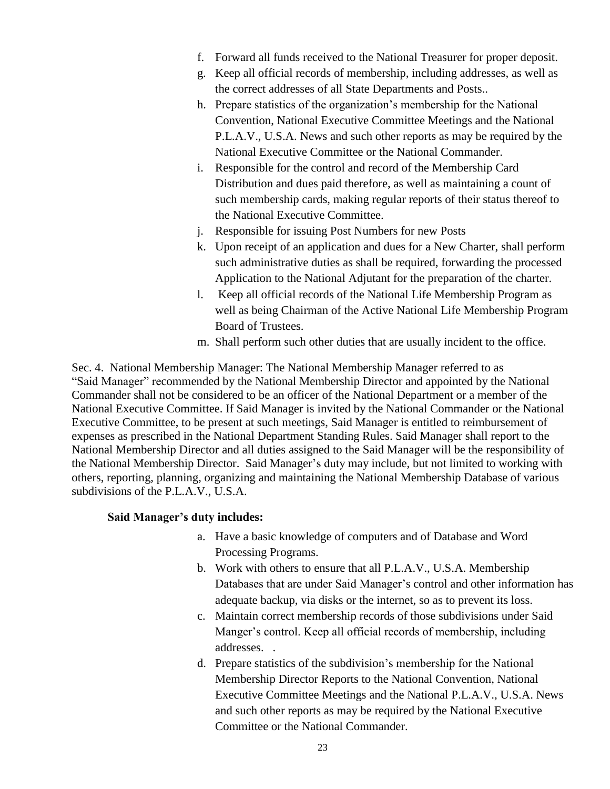- f. Forward all funds received to the National Treasurer for proper deposit.
- g. Keep all official records of membership, including addresses, as well as the correct addresses of all State Departments and Posts..
- h. Prepare statistics of the organization's membership for the National Convention, National Executive Committee Meetings and the National P.L.A.V., U.S.A. News and such other reports as may be required by the National Executive Committee or the National Commander.
- i. Responsible for the control and record of the Membership Card Distribution and dues paid therefore, as well as maintaining a count of such membership cards, making regular reports of their status thereof to the National Executive Committee.
- j. Responsible for issuing Post Numbers for new Posts
- k. Upon receipt of an application and dues for a New Charter, shall perform such administrative duties as shall be required, forwarding the processed Application to the National Adjutant for the preparation of the charter.
- l. Keep all official records of the National Life Membership Program as well as being Chairman of the Active National Life Membership Program Board of Trustees.
- m. Shall perform such other duties that are usually incident to the office.

Sec. 4. National Membership Manager: The National Membership Manager referred to as "Said Manager" recommended by the National Membership Director and appointed by the National Commander shall not be considered to be an officer of the National Department or a member of the National Executive Committee. If Said Manager is invited by the National Commander or the National Executive Committee, to be present at such meetings, Said Manager is entitled to reimbursement of expenses as prescribed in the National Department Standing Rules. Said Manager shall report to the National Membership Director and all duties assigned to the Said Manager will be the responsibility of the National Membership Director. Said Manager's duty may include, but not limited to working with others, reporting, planning, organizing and maintaining the National Membership Database of various subdivisions of the P.L.A.V., U.S.A.

#### **Said Manager's duty includes:**

- a. Have a basic knowledge of computers and of Database and Word Processing Programs.
- b. Work with others to ensure that all P.L.A.V., U.S.A. Membership Databases that are under Said Manager's control and other information has adequate backup, via disks or the internet, so as to prevent its loss.
- c. Maintain correct membership records of those subdivisions under Said Manger's control. Keep all official records of membership, including addresses. .
- d. Prepare statistics of the subdivision's membership for the National Membership Director Reports to the National Convention, National Executive Committee Meetings and the National P.L.A.V., U.S.A. News and such other reports as may be required by the National Executive Committee or the National Commander.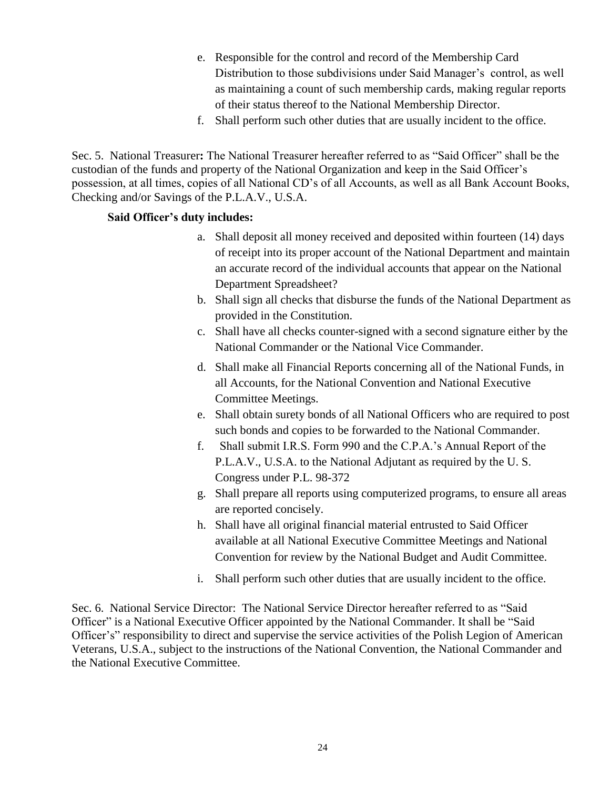- e. Responsible for the control and record of the Membership Card Distribution to those subdivisions under Said Manager's control, as well as maintaining a count of such membership cards, making regular reports of their status thereof to the National Membership Director.
- f. Shall perform such other duties that are usually incident to the office.

Sec. 5. National Treasurer**:** The National Treasurer hereafter referred to as "Said Officer" shall be the custodian of the funds and property of the National Organization and keep in the Said Officer's possession, at all times, copies of all National CD's of all Accounts, as well as all Bank Account Books, Checking and/or Savings of the P.L.A.V., U.S.A.

#### **Said Officer's duty includes:**

- a. Shall deposit all money received and deposited within fourteen (14) days of receipt into its proper account of the National Department and maintain an accurate record of the individual accounts that appear on the National Department Spreadsheet?
- b. Shall sign all checks that disburse the funds of the National Department as provided in the Constitution.
- c. Shall have all checks counter-signed with a second signature either by the National Commander or the National Vice Commander.
- d. Shall make all Financial Reports concerning all of the National Funds, in all Accounts, for the National Convention and National Executive Committee Meetings.
- e. Shall obtain surety bonds of all National Officers who are required to post such bonds and copies to be forwarded to the National Commander.
- f. Shall submit I.R.S. Form 990 and the C.P.A.'s Annual Report of the P.L.A.V., U.S.A. to the National Adjutant as required by the U. S. Congress under P.L. 98-372
- g. Shall prepare all reports using computerized programs, to ensure all areas are reported concisely.
- h. Shall have all original financial material entrusted to Said Officer available at all National Executive Committee Meetings and National Convention for review by the National Budget and Audit Committee.
- i. Shall perform such other duties that are usually incident to the office.

Sec. 6. National Service Director: The National Service Director hereafter referred to as "Said Officer" is a National Executive Officer appointed by the National Commander. It shall be "Said Officer's" responsibility to direct and supervise the service activities of the Polish Legion of American Veterans, U.S.A., subject to the instructions of the National Convention, the National Commander and the National Executive Committee.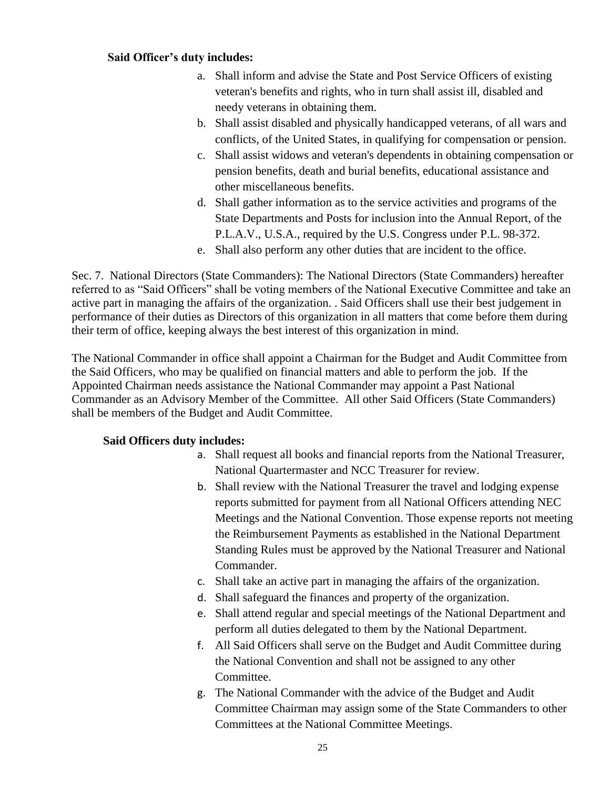### **Said Officer's duty includes:**

- a. Shall inform and advise the State and Post Service Officers of existing veteran's benefits and rights, who in turn shall assist ill, disabled and needy veterans in obtaining them.
- b. Shall assist disabled and physically handicapped veterans, of all wars and conflicts, of the United States, in qualifying for compensation or pension.
- c. Shall assist widows and veteran's dependents in obtaining compensation or pension benefits, death and burial benefits, educational assistance and other miscellaneous benefits.
- d. Shall gather information as to the service activities and programs of the State Departments and Posts for inclusion into the Annual Report, of the P.L.A.V., U.S.A., required by the U.S. Congress under P.L. 98-372.
- e. Shall also perform any other duties that are incident to the office.

Sec. 7. National Directors (State Commanders): The National Directors (State Commanders) hereafter referred to as "Said Officers" shall be voting members of the National Executive Committee and take an active part in managing the affairs of the organization. . Said Officers shall use their best judgement in performance of their duties as Directors of this organization in all matters that come before them during their term of office, keeping always the best interest of this organization in mind.

The National Commander in office shall appoint a Chairman for the Budget and Audit Committee from the Said Officers, who may be qualified on financial matters and able to perform the job. If the Appointed Chairman needs assistance the National Commander may appoint a Past National Commander as an Advisory Member of the Committee. All other Said Officers (State Commanders) shall be members of the Budget and Audit Committee.

#### **Said Officers duty includes:**

- a. Shall request all books and financial reports from the National Treasurer, National Quartermaster and NCC Treasurer for review.
- b. Shall review with the National Treasurer the travel and lodging expense reports submitted for payment from all National Officers attending NEC Meetings and the National Convention. Those expense reports not meeting the Reimbursement Payments as established in the National Department Standing Rules must be approved by the National Treasurer and National Commander.
- c. Shall take an active part in managing the affairs of the organization.
- d. Shall safeguard the finances and property of the organization.
- e. Shall attend regular and special meetings of the National Department and perform all duties delegated to them by the National Department.
- f. All Said Officers shall serve on the Budget and Audit Committee during the National Convention and shall not be assigned to any other Committee.
- g. The National Commander with the advice of the Budget and Audit Committee Chairman may assign some of the State Commanders to other Committees at the National Committee Meetings.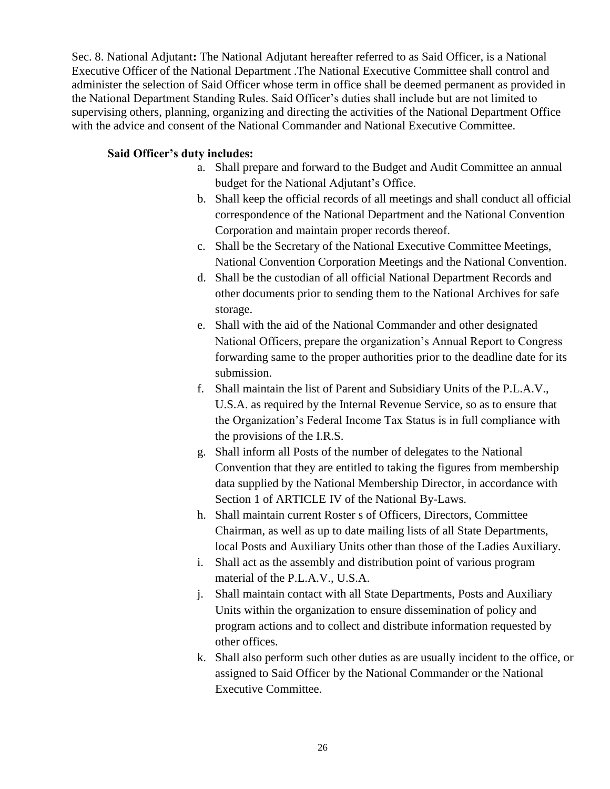Sec. 8. National Adjutant**:** The National Adjutant hereafter referred to as Said Officer, is a National Executive Officer of the National Department .The National Executive Committee shall control and administer the selection of Said Officer whose term in office shall be deemed permanent as provided in the National Department Standing Rules. Said Officer's duties shall include but are not limited to supervising others, planning, organizing and directing the activities of the National Department Office with the advice and consent of the National Commander and National Executive Committee.

### **Said Officer's duty includes:**

- a. Shall prepare and forward to the Budget and Audit Committee an annual budget for the National Adjutant's Office.
- b. Shall keep the official records of all meetings and shall conduct all official correspondence of the National Department and the National Convention Corporation and maintain proper records thereof.
- c. Shall be the Secretary of the National Executive Committee Meetings, National Convention Corporation Meetings and the National Convention.
- d. Shall be the custodian of all official National Department Records and other documents prior to sending them to the National Archives for safe storage.
- e. Shall with the aid of the National Commander and other designated National Officers, prepare the organization's Annual Report to Congress forwarding same to the proper authorities prior to the deadline date for its submission.
- f. Shall maintain the list of Parent and Subsidiary Units of the P.L.A.V., U.S.A. as required by the Internal Revenue Service, so as to ensure that the Organization's Federal Income Tax Status is in full compliance with the provisions of the I.R.S.
- g. Shall inform all Posts of the number of delegates to the National Convention that they are entitled to taking the figures from membership data supplied by the National Membership Director, in accordance with Section 1 of ARTICLE IV of the National By-Laws.
- h. Shall maintain current Roster s of Officers, Directors, Committee Chairman, as well as up to date mailing lists of all State Departments, local Posts and Auxiliary Units other than those of the Ladies Auxiliary.
- i. Shall act as the assembly and distribution point of various program material of the P.L.A.V., U.S.A.
- j. Shall maintain contact with all State Departments, Posts and Auxiliary Units within the organization to ensure dissemination of policy and program actions and to collect and distribute information requested by other offices.
- k. Shall also perform such other duties as are usually incident to the office, or assigned to Said Officer by the National Commander or the National Executive Committee.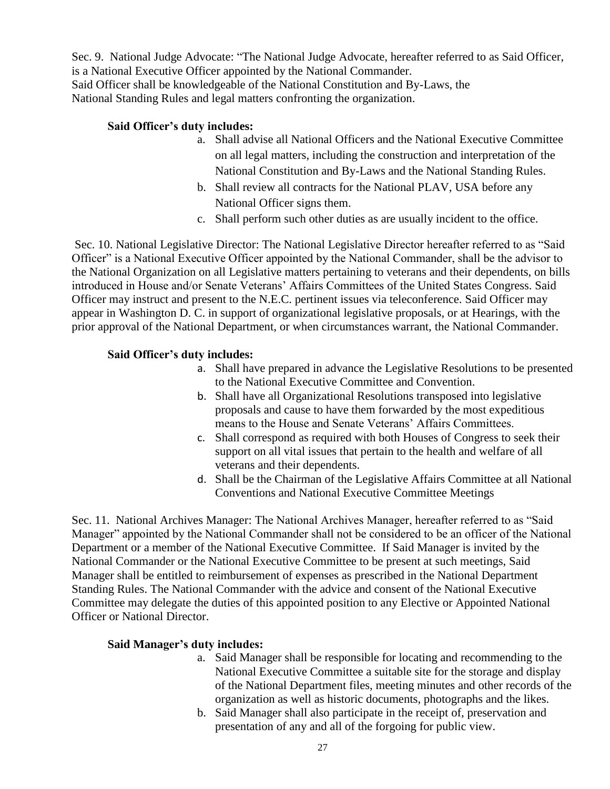Sec. 9. National Judge Advocate: "The National Judge Advocate, hereafter referred to as Said Officer, is a National Executive Officer appointed by the National Commander. Said Officer shall be knowledgeable of the National Constitution and By-Laws, the National Standing Rules and legal matters confronting the organization.

### **Said Officer's duty includes:**

- a. Shall advise all National Officers and the National Executive Committee on all legal matters, including the construction and interpretation of the National Constitution and By-Laws and the National Standing Rules.
- b. Shall review all contracts for the National PLAV, USA before any National Officer signs them.
- c. Shall perform such other duties as are usually incident to the office.

Sec. 10. National Legislative Director: The National Legislative Director hereafter referred to as "Said Officer" is a National Executive Officer appointed by the National Commander, shall be the advisor to the National Organization on all Legislative matters pertaining to veterans and their dependents, on bills introduced in House and/or Senate Veterans' Affairs Committees of the United States Congress. Said Officer may instruct and present to the N.E.C. pertinent issues via teleconference. Said Officer may appear in Washington D. C. in support of organizational legislative proposals, or at Hearings, with the prior approval of the National Department, or when circumstances warrant, the National Commander.

#### **Said Officer's duty includes:**

- a. Shall have prepared in advance the Legislative Resolutions to be presented to the National Executive Committee and Convention.
- b. Shall have all Organizational Resolutions transposed into legislative proposals and cause to have them forwarded by the most expeditious means to the House and Senate Veterans' Affairs Committees.
- c. Shall correspond as required with both Houses of Congress to seek their support on all vital issues that pertain to the health and welfare of all veterans and their dependents.
- d. Shall be the Chairman of the Legislative Affairs Committee at all National Conventions and National Executive Committee Meetings

Sec. 11. National Archives Manager: The National Archives Manager, hereafter referred to as "Said Manager" appointed by the National Commander shall not be considered to be an officer of the National Department or a member of the National Executive Committee. If Said Manager is invited by the National Commander or the National Executive Committee to be present at such meetings, Said Manager shall be entitled to reimbursement of expenses as prescribed in the National Department Standing Rules. The National Commander with the advice and consent of the National Executive Committee may delegate the duties of this appointed position to any Elective or Appointed National Officer or National Director.

#### **Said Manager's duty includes:**

- a. Said Manager shall be responsible for locating and recommending to the National Executive Committee a suitable site for the storage and display of the National Department files, meeting minutes and other records of the organization as well as historic documents, photographs and the likes.
- b. Said Manager shall also participate in the receipt of, preservation and presentation of any and all of the forgoing for public view.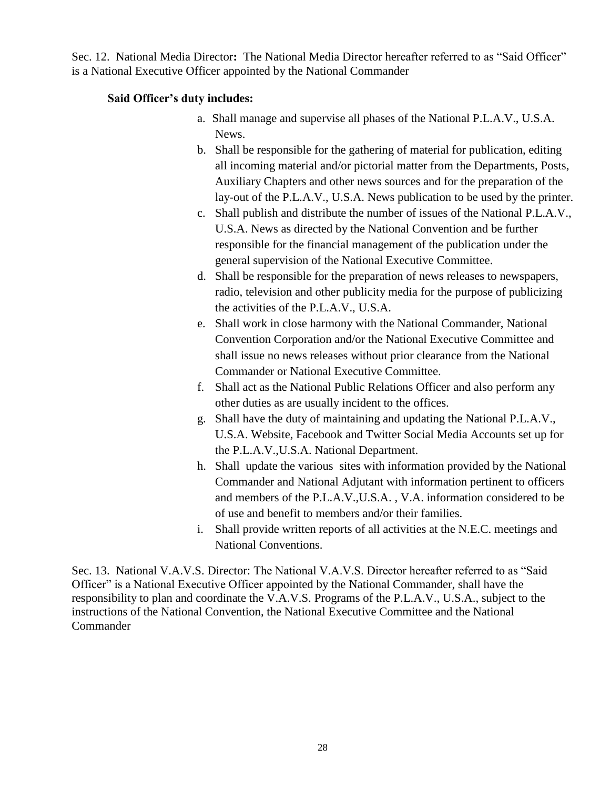Sec. 12. National Media Director**:** The National Media Director hereafter referred to as "Said Officer" is a National Executive Officer appointed by the National Commander

## **Said Officer's duty includes:**

- a. Shall manage and supervise all phases of the National P.L.A.V., U.S.A. News.
- b. Shall be responsible for the gathering of material for publication, editing all incoming material and/or pictorial matter from the Departments, Posts, Auxiliary Chapters and other news sources and for the preparation of the lay-out of the P.L.A.V., U.S.A. News publication to be used by the printer.
- c. Shall publish and distribute the number of issues of the National P.L.A.V., U.S.A. News as directed by the National Convention and be further responsible for the financial management of the publication under the general supervision of the National Executive Committee.
- d. Shall be responsible for the preparation of news releases to newspapers, radio, television and other publicity media for the purpose of publicizing the activities of the P.L.A.V., U.S.A.
- e. Shall work in close harmony with the National Commander, National Convention Corporation and/or the National Executive Committee and shall issue no news releases without prior clearance from the National Commander or National Executive Committee.
- f. Shall act as the National Public Relations Officer and also perform any other duties as are usually incident to the offices.
- g. Shall have the duty of maintaining and updating the National P.L.A.V., U.S.A. Website, Facebook and Twitter Social Media Accounts set up for the P.L.A.V.,U.S.A. National Department.
- h. Shall update the various sites with information provided by the National Commander and National Adjutant with information pertinent to officers and members of the P.L.A.V.,U.S.A. , V.A. information considered to be of use and benefit to members and/or their families.
- i. Shall provide written reports of all activities at the N.E.C. meetings and National Conventions.

Sec. 13. National V.A.V.S. Director: The National V.A.V.S. Director hereafter referred to as "Said Officer" is a National Executive Officer appointed by the National Commander, shall have the responsibility to plan and coordinate the V.A.V.S. Programs of the P.L.A.V., U.S.A., subject to the instructions of the National Convention, the National Executive Committee and the National **Commander**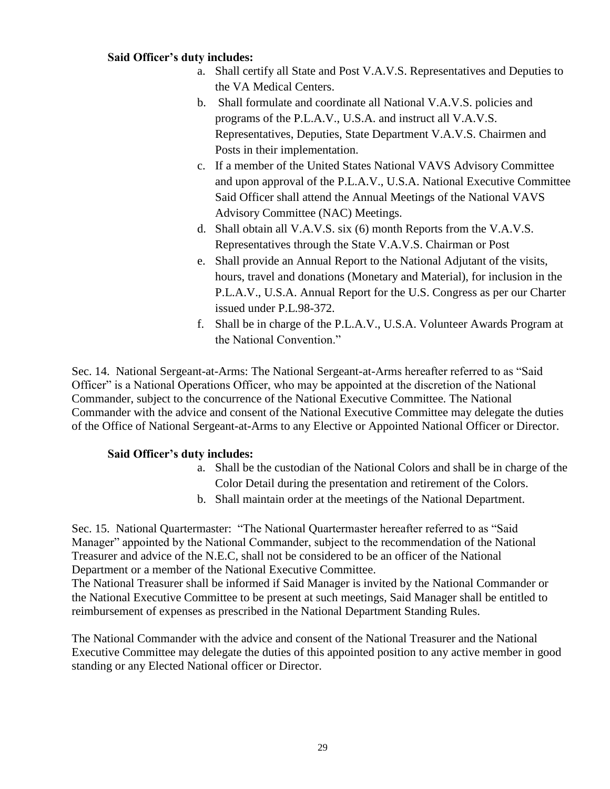#### **Said Officer's duty includes:**

- a. Shall certify all State and Post V.A.V.S. Representatives and Deputies to the VA Medical Centers.
- b. Shall formulate and coordinate all National V.A.V.S. policies and programs of the P.L.A.V., U.S.A. and instruct all V.A.V.S. Representatives, Deputies, State Department V.A.V.S. Chairmen and Posts in their implementation.
- c. If a member of the United States National VAVS Advisory Committee and upon approval of the P.L.A.V., U.S.A. National Executive Committee Said Officer shall attend the Annual Meetings of the National VAVS Advisory Committee (NAC) Meetings.
- d. Shall obtain all V.A.V.S. six (6) month Reports from the V.A.V.S. Representatives through the State V.A.V.S. Chairman or Post
- e. Shall provide an Annual Report to the National Adjutant of the visits, hours, travel and donations (Monetary and Material), for inclusion in the P.L.A.V., U.S.A. Annual Report for the U.S. Congress as per our Charter issued under P.L.98-372.
- f. Shall be in charge of the P.L.A.V., U.S.A. Volunteer Awards Program at the National Convention."

Sec. 14. National Sergeant-at-Arms: The National Sergeant-at-Arms hereafter referred to as "Said Officer" is a National Operations Officer, who may be appointed at the discretion of the National Commander, subject to the concurrence of the National Executive Committee. The National Commander with the advice and consent of the National Executive Committee may delegate the duties of the Office of National Sergeant-at-Arms to any Elective or Appointed National Officer or Director.

#### **Said Officer's duty includes:**

- a. Shall be the custodian of the National Colors and shall be in charge of the Color Detail during the presentation and retirement of the Colors.
- b. Shall maintain order at the meetings of the National Department.

Sec. 15. National Quartermaster: "The National Quartermaster hereafter referred to as "Said Manager" appointed by the National Commander, subject to the recommendation of the National Treasurer and advice of the N.E.C, shall not be considered to be an officer of the National Department or a member of the National Executive Committee.

The National Treasurer shall be informed if Said Manager is invited by the National Commander or the National Executive Committee to be present at such meetings, Said Manager shall be entitled to reimbursement of expenses as prescribed in the National Department Standing Rules.

The National Commander with the advice and consent of the National Treasurer and the National Executive Committee may delegate the duties of this appointed position to any active member in good standing or any Elected National officer or Director.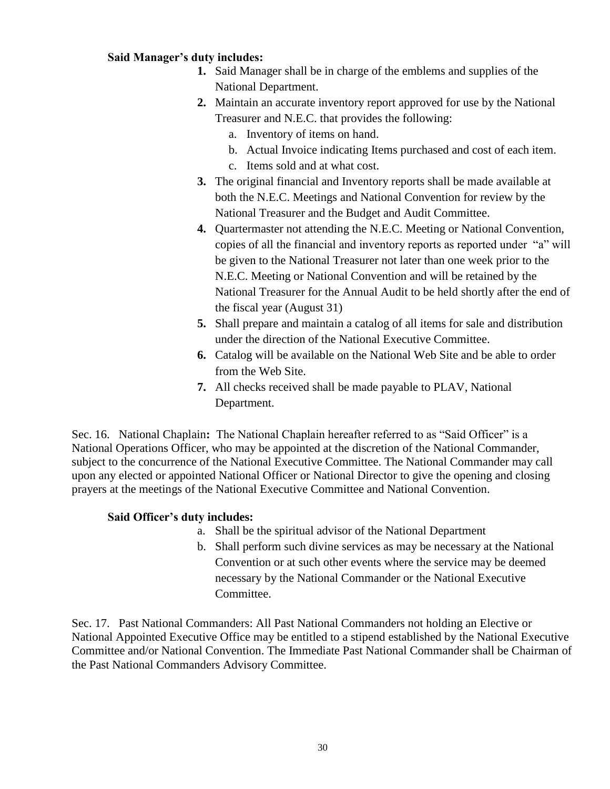### **Said Manager's duty includes:**

- **1.** Said Manager shall be in charge of the emblems and supplies of the National Department.
- **2.** Maintain an accurate inventory report approved for use by the National Treasurer and N.E.C. that provides the following:
	- a. Inventory of items on hand.
	- b. Actual Invoice indicating Items purchased and cost of each item.
	- c. Items sold and at what cost.
- **3.** The original financial and Inventory reports shall be made available at both the N.E.C. Meetings and National Convention for review by the National Treasurer and the Budget and Audit Committee.
- **4.** Quartermaster not attending the N.E.C. Meeting or National Convention, copies of all the financial and inventory reports as reported under "a" will be given to the National Treasurer not later than one week prior to the N.E.C. Meeting or National Convention and will be retained by the National Treasurer for the Annual Audit to be held shortly after the end of the fiscal year (August 31)
- **5.** Shall prepare and maintain a catalog of all items for sale and distribution under the direction of the National Executive Committee.
- **6.** Catalog will be available on the National Web Site and be able to order from the Web Site.
- **7.** All checks received shall be made payable to PLAV, National Department.

Sec. 16. National Chaplain**:** The National Chaplain hereafter referred to as "Said Officer" is a National Operations Officer, who may be appointed at the discretion of the National Commander, subject to the concurrence of the National Executive Committee. The National Commander may call upon any elected or appointed National Officer or National Director to give the opening and closing prayers at the meetings of the National Executive Committee and National Convention.

### **Said Officer's duty includes:**

- a. Shall be the spiritual advisor of the National Department
- b. Shall perform such divine services as may be necessary at the National Convention or at such other events where the service may be deemed necessary by the National Commander or the National Executive Committee.

Sec. 17. Past National Commanders: All Past National Commanders not holding an Elective or National Appointed Executive Office may be entitled to a stipend established by the National Executive Committee and/or National Convention. The Immediate Past National Commander shall be Chairman of the Past National Commanders Advisory Committee.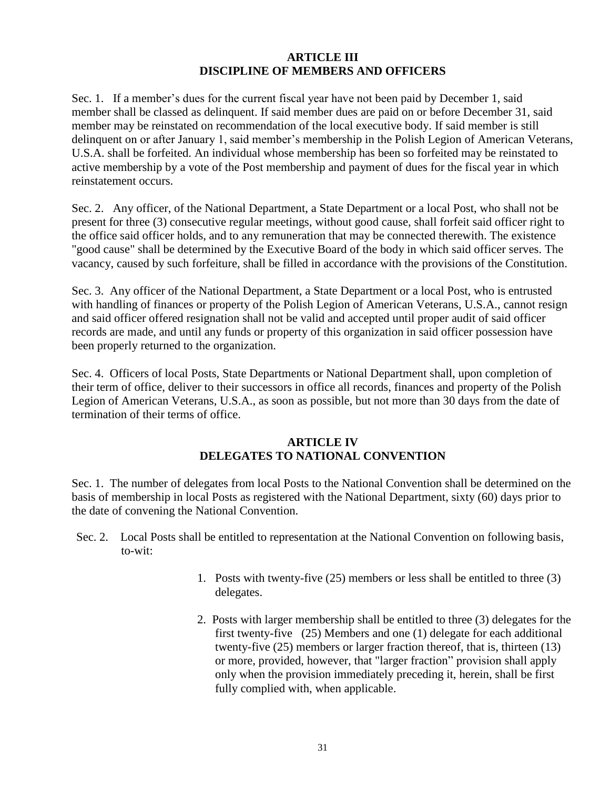#### **ARTICLE III DISCIPLINE OF MEMBERS AND OFFICERS**

Sec. 1. If a member's dues for the current fiscal year have not been paid by December 1, said member shall be classed as delinquent. If said member dues are paid on or before December 31, said member may be reinstated on recommendation of the local executive body. If said member is still delinquent on or after January 1, said member's membership in the Polish Legion of American Veterans, U.S.A. shall be forfeited. An individual whose membership has been so forfeited may be reinstated to active membership by a vote of the Post membership and payment of dues for the fiscal year in which reinstatement occurs.

Sec. 2. Any officer, of the National Department, a State Department or a local Post, who shall not be present for three (3) consecutive regular meetings, without good cause, shall forfeit said officer right to the office said officer holds, and to any remuneration that may be connected therewith. The existence "good cause" shall be determined by the Executive Board of the body in which said officer serves. The vacancy, caused by such forfeiture, shall be filled in accordance with the provisions of the Constitution.

Sec. 3. Any officer of the National Department, a State Department or a local Post, who is entrusted with handling of finances or property of the Polish Legion of American Veterans, U.S.A., cannot resign and said officer offered resignation shall not be valid and accepted until proper audit of said officer records are made, and until any funds or property of this organization in said officer possession have been properly returned to the organization.

Sec. 4. Officers of local Posts, State Departments or National Department shall, upon completion of their term of office, deliver to their successors in office all records, finances and property of the Polish Legion of American Veterans, U.S.A., as soon as possible, but not more than 30 days from the date of termination of their terms of office.

### **ARTICLE IV DELEGATES TO NATIONAL CONVENTION**

Sec. 1. The number of delegates from local Posts to the National Convention shall be determined on the basis of membership in local Posts as registered with the National Department, sixty (60) days prior to the date of convening the National Convention.

- Sec. 2. Local Posts shall be entitled to representation at the National Convention on following basis, to-wit:
	- 1. Posts with twenty-five (25) members or less shall be entitled to three (3) delegates.
	- 2. Posts with larger membership shall be entitled to three (3) delegates for the first twenty-five (25) Members and one (1) delegate for each additional twenty-five (25) members or larger fraction thereof, that is, thirteen (13) or more, provided, however, that "larger fraction" provision shall apply only when the provision immediately preceding it, herein, shall be first fully complied with, when applicable.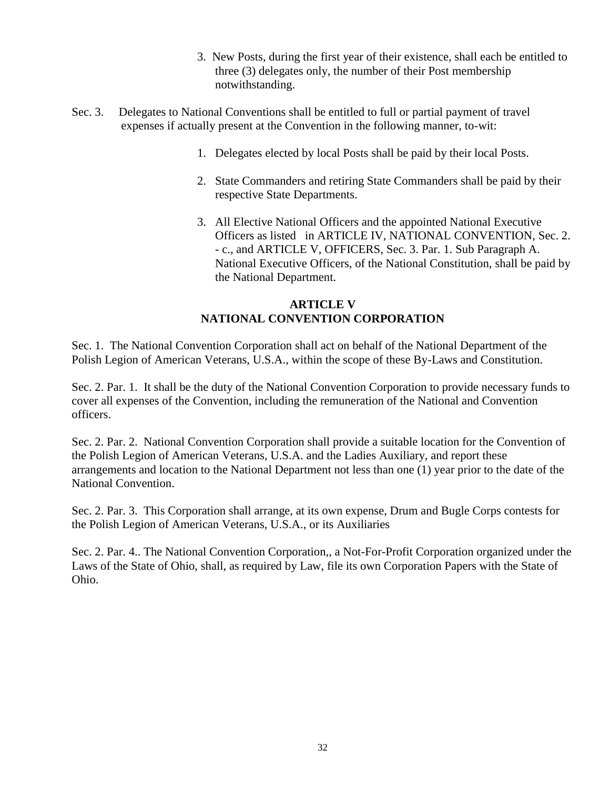- 3. New Posts, during the first year of their existence, shall each be entitled to three (3) delegates only, the number of their Post membership notwithstanding.
- Sec. 3. Delegates to National Conventions shall be entitled to full or partial payment of travel expenses if actually present at the Convention in the following manner, to-wit:
	- 1. Delegates elected by local Posts shall be paid by their local Posts.
	- 2. State Commanders and retiring State Commanders shall be paid by their respective State Departments.
	- 3. All Elective National Officers and the appointed National Executive Officers as listed in ARTICLE IV, NATIONAL CONVENTION, Sec. 2. - c., and ARTICLE V, OFFICERS, Sec. 3. Par. 1. Sub Paragraph A. National Executive Officers, of the National Constitution, shall be paid by the National Department.

# **ARTICLE V NATIONAL CONVENTION CORPORATION**

Sec. 1. The National Convention Corporation shall act on behalf of the National Department of the Polish Legion of American Veterans, U.S.A., within the scope of these By-Laws and Constitution.

Sec. 2. Par. 1. It shall be the duty of the National Convention Corporation to provide necessary funds to cover all expenses of the Convention, including the remuneration of the National and Convention officers.

Sec. 2. Par. 2. National Convention Corporation shall provide a suitable location for the Convention of the Polish Legion of American Veterans, U.S.A. and the Ladies Auxiliary, and report these arrangements and location to the National Department not less than one (1) year prior to the date of the National Convention.

Sec. 2. Par. 3. This Corporation shall arrange, at its own expense, Drum and Bugle Corps contests for the Polish Legion of American Veterans, U.S.A., or its Auxiliaries

Sec. 2. Par. 4.. The National Convention Corporation,, a Not-For-Profit Corporation organized under the Laws of the State of Ohio, shall, as required by Law, file its own Corporation Papers with the State of Ohio.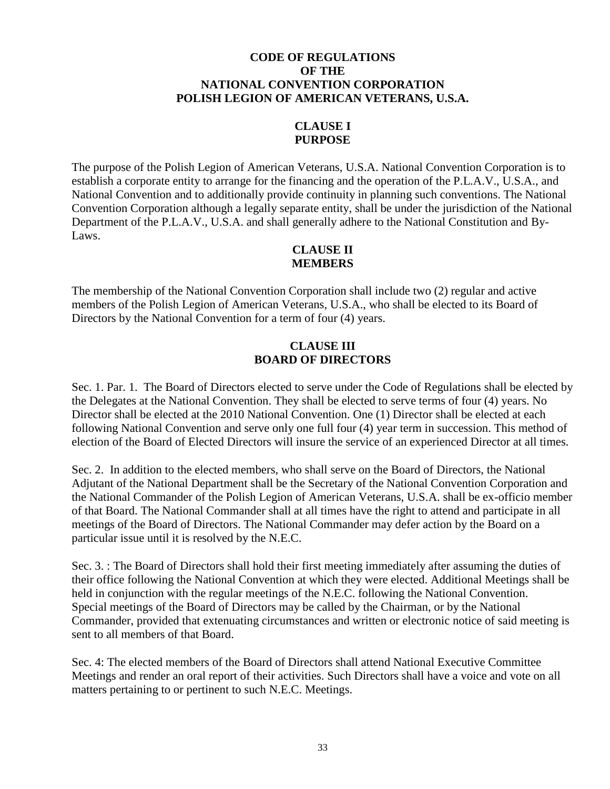### **CODE OF REGULATIONS OF THE NATIONAL CONVENTION CORPORATION POLISH LEGION OF AMERICAN VETERANS, U.S.A.**

#### **CLAUSE I PURPOSE**

The purpose of the Polish Legion of American Veterans, U.S.A. National Convention Corporation is to establish a corporate entity to arrange for the financing and the operation of the P.L.A.V., U.S.A., and National Convention and to additionally provide continuity in planning such conventions. The National Convention Corporation although a legally separate entity, shall be under the jurisdiction of the National Department of the P.L.A.V., U.S.A. and shall generally adhere to the National Constitution and By-Laws.

### **CLAUSE II MEMBERS**

The membership of the National Convention Corporation shall include two (2) regular and active members of the Polish Legion of American Veterans, U.S.A., who shall be elected to its Board of Directors by the National Convention for a term of four (4) years.

## **CLAUSE III BOARD OF DIRECTORS**

Sec. 1. Par. 1. The Board of Directors elected to serve under the Code of Regulations shall be elected by the Delegates at the National Convention. They shall be elected to serve terms of four (4) years. No Director shall be elected at the 2010 National Convention. One (1) Director shall be elected at each following National Convention and serve only one full four (4) year term in succession. This method of election of the Board of Elected Directors will insure the service of an experienced Director at all times.

Sec. 2. In addition to the elected members, who shall serve on the Board of Directors, the National Adjutant of the National Department shall be the Secretary of the National Convention Corporation and the National Commander of the Polish Legion of American Veterans, U.S.A. shall be ex-officio member of that Board. The National Commander shall at all times have the right to attend and participate in all meetings of the Board of Directors. The National Commander may defer action by the Board on a particular issue until it is resolved by the N.E.C.

Sec. 3. : The Board of Directors shall hold their first meeting immediately after assuming the duties of their office following the National Convention at which they were elected. Additional Meetings shall be held in conjunction with the regular meetings of the N.E.C. following the National Convention. Special meetings of the Board of Directors may be called by the Chairman, or by the National Commander, provided that extenuating circumstances and written or electronic notice of said meeting is sent to all members of that Board.

Sec. 4: The elected members of the Board of Directors shall attend National Executive Committee Meetings and render an oral report of their activities. Such Directors shall have a voice and vote on all matters pertaining to or pertinent to such N.E.C. Meetings.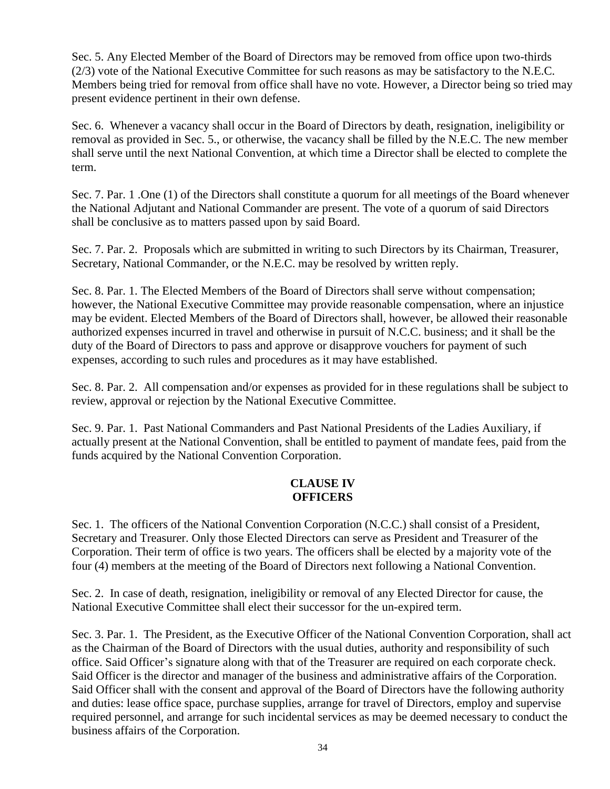Sec. 5. Any Elected Member of the Board of Directors may be removed from office upon two-thirds (2/3) vote of the National Executive Committee for such reasons as may be satisfactory to the N.E.C. Members being tried for removal from office shall have no vote. However, a Director being so tried may present evidence pertinent in their own defense.

Sec. 6. Whenever a vacancy shall occur in the Board of Directors by death, resignation, ineligibility or removal as provided in Sec. 5., or otherwise, the vacancy shall be filled by the N.E.C. The new member shall serve until the next National Convention, at which time a Director shall be elected to complete the term.

Sec. 7. Par. 1 .One (1) of the Directors shall constitute a quorum for all meetings of the Board whenever the National Adjutant and National Commander are present. The vote of a quorum of said Directors shall be conclusive as to matters passed upon by said Board.

Sec. 7. Par. 2. Proposals which are submitted in writing to such Directors by its Chairman, Treasurer, Secretary, National Commander, or the N.E.C. may be resolved by written reply.

Sec. 8. Par. 1. The Elected Members of the Board of Directors shall serve without compensation; however, the National Executive Committee may provide reasonable compensation, where an injustice may be evident. Elected Members of the Board of Directors shall, however, be allowed their reasonable authorized expenses incurred in travel and otherwise in pursuit of N.C.C. business; and it shall be the duty of the Board of Directors to pass and approve or disapprove vouchers for payment of such expenses, according to such rules and procedures as it may have established.

Sec. 8. Par. 2. All compensation and/or expenses as provided for in these regulations shall be subject to review, approval or rejection by the National Executive Committee.

Sec. 9. Par. 1. Past National Commanders and Past National Presidents of the Ladies Auxiliary, if actually present at the National Convention, shall be entitled to payment of mandate fees, paid from the funds acquired by the National Convention Corporation.

### **CLAUSE IV OFFICERS**

Sec. 1. The officers of the National Convention Corporation (N.C.C.) shall consist of a President, Secretary and Treasurer. Only those Elected Directors can serve as President and Treasurer of the Corporation. Their term of office is two years. The officers shall be elected by a majority vote of the four (4) members at the meeting of the Board of Directors next following a National Convention.

Sec. 2. In case of death, resignation, ineligibility or removal of any Elected Director for cause, the National Executive Committee shall elect their successor for the un-expired term.

Sec. 3. Par. 1. The President, as the Executive Officer of the National Convention Corporation, shall act as the Chairman of the Board of Directors with the usual duties, authority and responsibility of such office. Said Officer's signature along with that of the Treasurer are required on each corporate check. Said Officer is the director and manager of the business and administrative affairs of the Corporation. Said Officer shall with the consent and approval of the Board of Directors have the following authority and duties: lease office space, purchase supplies, arrange for travel of Directors, employ and supervise required personnel, and arrange for such incidental services as may be deemed necessary to conduct the business affairs of the Corporation.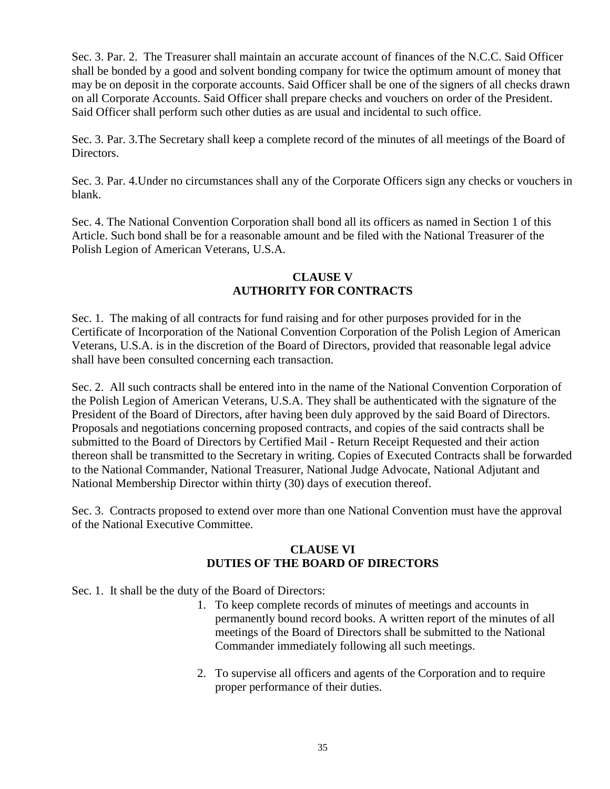Sec. 3. Par. 2. The Treasurer shall maintain an accurate account of finances of the N.C.C. Said Officer shall be bonded by a good and solvent bonding company for twice the optimum amount of money that may be on deposit in the corporate accounts. Said Officer shall be one of the signers of all checks drawn on all Corporate Accounts. Said Officer shall prepare checks and vouchers on order of the President. Said Officer shall perform such other duties as are usual and incidental to such office.

Sec. 3. Par. 3.The Secretary shall keep a complete record of the minutes of all meetings of the Board of Directors.

Sec. 3. Par. 4.Under no circumstances shall any of the Corporate Officers sign any checks or vouchers in blank.

Sec. 4. The National Convention Corporation shall bond all its officers as named in Section 1 of this Article. Such bond shall be for a reasonable amount and be filed with the National Treasurer of the Polish Legion of American Veterans, U.S.A.

# **CLAUSE V AUTHORITY FOR CONTRACTS**

Sec. 1. The making of all contracts for fund raising and for other purposes provided for in the Certificate of Incorporation of the National Convention Corporation of the Polish Legion of American Veterans, U.S.A. is in the discretion of the Board of Directors, provided that reasonable legal advice shall have been consulted concerning each transaction.

Sec. 2. All such contracts shall be entered into in the name of the National Convention Corporation of the Polish Legion of American Veterans, U.S.A. They shall be authenticated with the signature of the President of the Board of Directors, after having been duly approved by the said Board of Directors. Proposals and negotiations concerning proposed contracts, and copies of the said contracts shall be submitted to the Board of Directors by Certified Mail - Return Receipt Requested and their action thereon shall be transmitted to the Secretary in writing. Copies of Executed Contracts shall be forwarded to the National Commander, National Treasurer, National Judge Advocate, National Adjutant and National Membership Director within thirty (30) days of execution thereof.

Sec. 3. Contracts proposed to extend over more than one National Convention must have the approval of the National Executive Committee.

# **CLAUSE VI DUTIES OF THE BOARD OF DIRECTORS**

Sec. 1. It shall be the duty of the Board of Directors:

- 1. To keep complete records of minutes of meetings and accounts in permanently bound record books. A written report of the minutes of all meetings of the Board of Directors shall be submitted to the National Commander immediately following all such meetings.
- 2. To supervise all officers and agents of the Corporation and to require proper performance of their duties.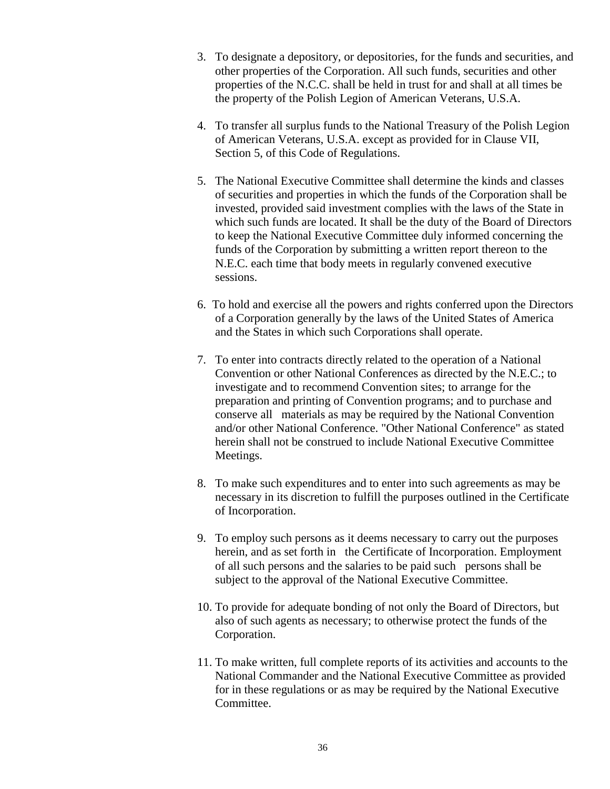- 3. To designate a depository, or depositories, for the funds and securities, and other properties of the Corporation. All such funds, securities and other properties of the N.C.C. shall be held in trust for and shall at all times be the property of the Polish Legion of American Veterans, U.S.A.
- 4. To transfer all surplus funds to the National Treasury of the Polish Legion of American Veterans, U.S.A. except as provided for in Clause VII, Section 5, of this Code of Regulations.
- 5. The National Executive Committee shall determine the kinds and classes of securities and properties in which the funds of the Corporation shall be invested, provided said investment complies with the laws of the State in which such funds are located. It shall be the duty of the Board of Directors to keep the National Executive Committee duly informed concerning the funds of the Corporation by submitting a written report thereon to the N.E.C. each time that body meets in regularly convened executive sessions.
- 6. To hold and exercise all the powers and rights conferred upon the Directors of a Corporation generally by the laws of the United States of America and the States in which such Corporations shall operate.
- 7. To enter into contracts directly related to the operation of a National Convention or other National Conferences as directed by the N.E.C.; to investigate and to recommend Convention sites; to arrange for the preparation and printing of Convention programs; and to purchase and conserve all materials as may be required by the National Convention and/or other National Conference. "Other National Conference" as stated herein shall not be construed to include National Executive Committee Meetings.
- 8. To make such expenditures and to enter into such agreements as may be necessary in its discretion to fulfill the purposes outlined in the Certificate of Incorporation.
- 9. To employ such persons as it deems necessary to carry out the purposes herein, and as set forth in the Certificate of Incorporation. Employment of all such persons and the salaries to be paid such persons shall be subject to the approval of the National Executive Committee.
- 10. To provide for adequate bonding of not only the Board of Directors, but also of such agents as necessary; to otherwise protect the funds of the Corporation.
- 11. To make written, full complete reports of its activities and accounts to the National Commander and the National Executive Committee as provided for in these regulations or as may be required by the National Executive Committee.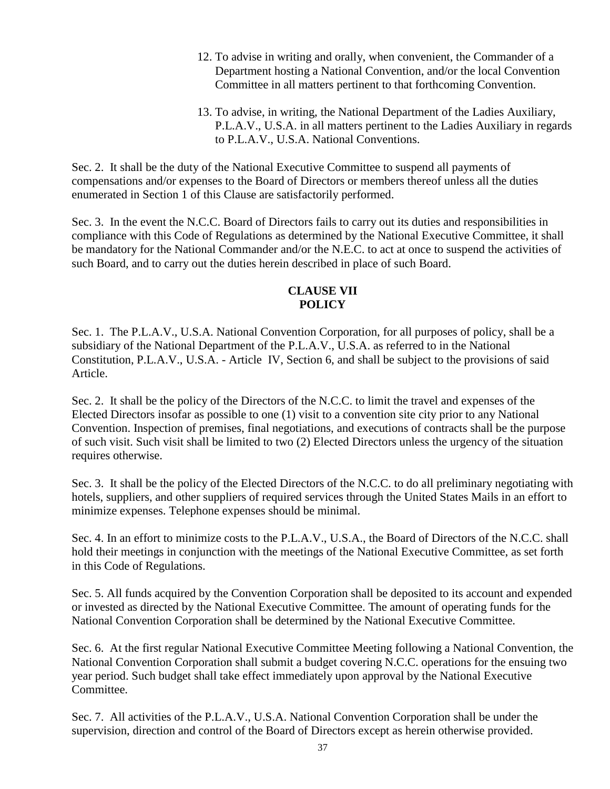- 12. To advise in writing and orally, when convenient, the Commander of a Department hosting a National Convention, and/or the local Convention Committee in all matters pertinent to that forthcoming Convention.
- 13. To advise, in writing, the National Department of the Ladies Auxiliary, P.L.A.V., U.S.A. in all matters pertinent to the Ladies Auxiliary in regards to P.L.A.V., U.S.A. National Conventions.

Sec. 2. It shall be the duty of the National Executive Committee to suspend all payments of compensations and/or expenses to the Board of Directors or members thereof unless all the duties enumerated in Section 1 of this Clause are satisfactorily performed.

Sec. 3. In the event the N.C.C. Board of Directors fails to carry out its duties and responsibilities in compliance with this Code of Regulations as determined by the National Executive Committee, it shall be mandatory for the National Commander and/or the N.E.C. to act at once to suspend the activities of such Board, and to carry out the duties herein described in place of such Board.

# **CLAUSE VII POLICY**

Sec. 1. The P.L.A.V., U.S.A. National Convention Corporation, for all purposes of policy, shall be a subsidiary of the National Department of the P.L.A.V., U.S.A. as referred to in the National Constitution, P.L.A.V., U.S.A. - Article IV, Section 6, and shall be subject to the provisions of said Article.

Sec. 2. It shall be the policy of the Directors of the N.C.C. to limit the travel and expenses of the Elected Directors insofar as possible to one (1) visit to a convention site city prior to any National Convention. Inspection of premises, final negotiations, and executions of contracts shall be the purpose of such visit. Such visit shall be limited to two (2) Elected Directors unless the urgency of the situation requires otherwise.

Sec. 3. It shall be the policy of the Elected Directors of the N.C.C. to do all preliminary negotiating with hotels, suppliers, and other suppliers of required services through the United States Mails in an effort to minimize expenses. Telephone expenses should be minimal.

Sec. 4. In an effort to minimize costs to the P.L.A.V., U.S.A., the Board of Directors of the N.C.C. shall hold their meetings in conjunction with the meetings of the National Executive Committee, as set forth in this Code of Regulations.

Sec. 5. All funds acquired by the Convention Corporation shall be deposited to its account and expended or invested as directed by the National Executive Committee. The amount of operating funds for the National Convention Corporation shall be determined by the National Executive Committee.

Sec. 6. At the first regular National Executive Committee Meeting following a National Convention, the National Convention Corporation shall submit a budget covering N.C.C. operations for the ensuing two year period. Such budget shall take effect immediately upon approval by the National Executive Committee.

Sec. 7. All activities of the P.L.A.V., U.S.A. National Convention Corporation shall be under the supervision, direction and control of the Board of Directors except as herein otherwise provided.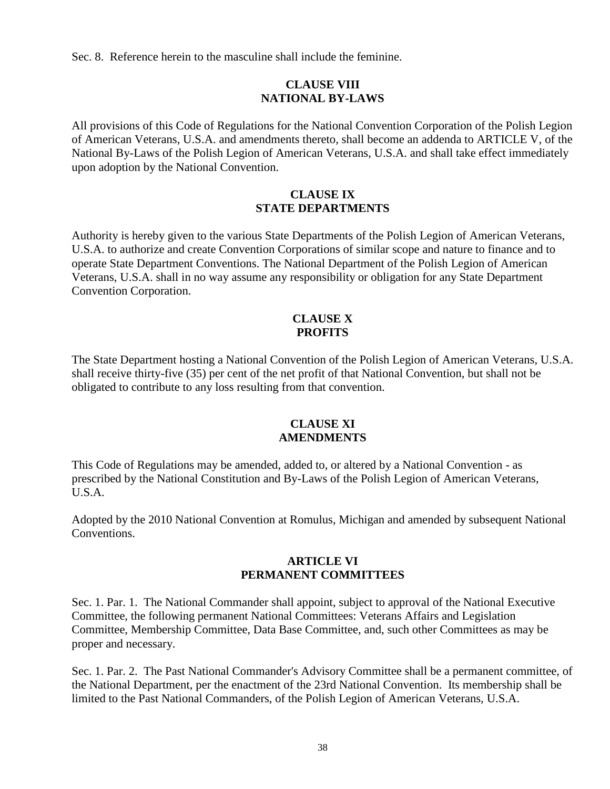Sec. 8. Reference herein to the masculine shall include the feminine.

### **CLAUSE VIII NATIONAL BY-LAWS**

All provisions of this Code of Regulations for the National Convention Corporation of the Polish Legion of American Veterans, U.S.A. and amendments thereto, shall become an addenda to ARTICLE V, of the National By-Laws of the Polish Legion of American Veterans, U.S.A. and shall take effect immediately upon adoption by the National Convention.

#### **CLAUSE IX STATE DEPARTMENTS**

Authority is hereby given to the various State Departments of the Polish Legion of American Veterans, U.S.A. to authorize and create Convention Corporations of similar scope and nature to finance and to operate State Department Conventions. The National Department of the Polish Legion of American Veterans, U.S.A. shall in no way assume any responsibility or obligation for any State Department Convention Corporation.

#### **CLAUSE X PROFITS**

The State Department hosting a National Convention of the Polish Legion of American Veterans, U.S.A. shall receive thirty-five (35) per cent of the net profit of that National Convention, but shall not be obligated to contribute to any loss resulting from that convention.

#### **CLAUSE XI AMENDMENTS**

This Code of Regulations may be amended, added to, or altered by a National Convention - as prescribed by the National Constitution and By-Laws of the Polish Legion of American Veterans, U.S.A.

Adopted by the 2010 National Convention at Romulus, Michigan and amended by subsequent National Conventions.

#### **ARTICLE VI PERMANENT COMMITTEES**

Sec. 1. Par. 1. The National Commander shall appoint, subject to approval of the National Executive Committee, the following permanent National Committees: Veterans Affairs and Legislation Committee, Membership Committee, Data Base Committee, and, such other Committees as may be proper and necessary.

Sec. 1. Par. 2. The Past National Commander's Advisory Committee shall be a permanent committee, of the National Department, per the enactment of the 23rd National Convention. Its membership shall be limited to the Past National Commanders, of the Polish Legion of American Veterans, U.S.A.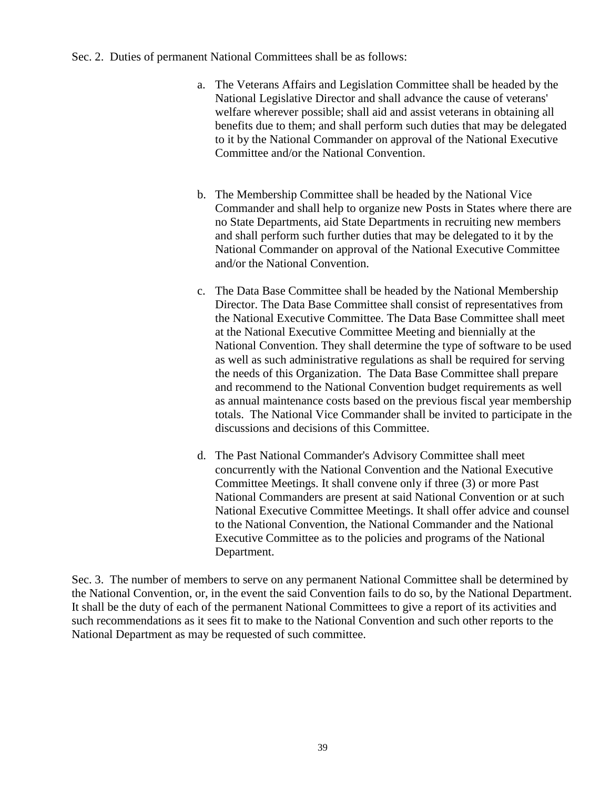#### Sec. 2. Duties of permanent National Committees shall be as follows:

- a. The Veterans Affairs and Legislation Committee shall be headed by the National Legislative Director and shall advance the cause of veterans' welfare wherever possible; shall aid and assist veterans in obtaining all benefits due to them; and shall perform such duties that may be delegated to it by the National Commander on approval of the National Executive Committee and/or the National Convention.
- b. The Membership Committee shall be headed by the National Vice Commander and shall help to organize new Posts in States where there are no State Departments, aid State Departments in recruiting new members and shall perform such further duties that may be delegated to it by the National Commander on approval of the National Executive Committee and/or the National Convention.
- c. The Data Base Committee shall be headed by the National Membership Director. The Data Base Committee shall consist of representatives from the National Executive Committee. The Data Base Committee shall meet at the National Executive Committee Meeting and biennially at the National Convention. They shall determine the type of software to be used as well as such administrative regulations as shall be required for serving the needs of this Organization. The Data Base Committee shall prepare and recommend to the National Convention budget requirements as well as annual maintenance costs based on the previous fiscal year membership totals. The National Vice Commander shall be invited to participate in the discussions and decisions of this Committee.
- d. The Past National Commander's Advisory Committee shall meet concurrently with the National Convention and the National Executive Committee Meetings. It shall convene only if three (3) or more Past National Commanders are present at said National Convention or at such National Executive Committee Meetings. It shall offer advice and counsel to the National Convention, the National Commander and the National Executive Committee as to the policies and programs of the National Department.

Sec. 3. The number of members to serve on any permanent National Committee shall be determined by the National Convention, or, in the event the said Convention fails to do so, by the National Department. It shall be the duty of each of the permanent National Committees to give a report of its activities and such recommendations as it sees fit to make to the National Convention and such other reports to the National Department as may be requested of such committee.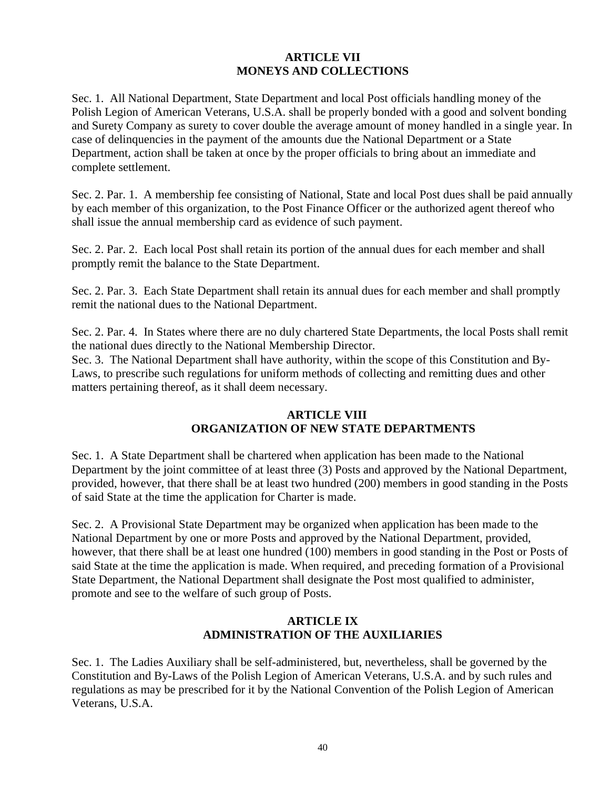### **ARTICLE VII MONEYS AND COLLECTIONS**

Sec. 1. All National Department, State Department and local Post officials handling money of the Polish Legion of American Veterans, U.S.A. shall be properly bonded with a good and solvent bonding and Surety Company as surety to cover double the average amount of money handled in a single year. In case of delinquencies in the payment of the amounts due the National Department or a State Department, action shall be taken at once by the proper officials to bring about an immediate and complete settlement.

Sec. 2. Par. 1. A membership fee consisting of National, State and local Post dues shall be paid annually by each member of this organization, to the Post Finance Officer or the authorized agent thereof who shall issue the annual membership card as evidence of such payment.

Sec. 2. Par. 2. Each local Post shall retain its portion of the annual dues for each member and shall promptly remit the balance to the State Department.

Sec. 2. Par. 3. Each State Department shall retain its annual dues for each member and shall promptly remit the national dues to the National Department.

Sec. 2. Par. 4. In States where there are no duly chartered State Departments, the local Posts shall remit the national dues directly to the National Membership Director.

Sec. 3. The National Department shall have authority, within the scope of this Constitution and By-Laws, to prescribe such regulations for uniform methods of collecting and remitting dues and other matters pertaining thereof, as it shall deem necessary.

### **ARTICLE VIII ORGANIZATION OF NEW STATE DEPARTMENTS**

Sec. 1. A State Department shall be chartered when application has been made to the National Department by the joint committee of at least three (3) Posts and approved by the National Department, provided, however, that there shall be at least two hundred (200) members in good standing in the Posts of said State at the time the application for Charter is made.

Sec. 2. A Provisional State Department may be organized when application has been made to the National Department by one or more Posts and approved by the National Department, provided, however, that there shall be at least one hundred (100) members in good standing in the Post or Posts of said State at the time the application is made. When required, and preceding formation of a Provisional State Department, the National Department shall designate the Post most qualified to administer, promote and see to the welfare of such group of Posts.

# **ARTICLE IX ADMINISTRATION OF THE AUXILIARIES**

Sec. 1. The Ladies Auxiliary shall be self-administered, but, nevertheless, shall be governed by the Constitution and By-Laws of the Polish Legion of American Veterans, U.S.A. and by such rules and regulations as may be prescribed for it by the National Convention of the Polish Legion of American Veterans, U.S.A.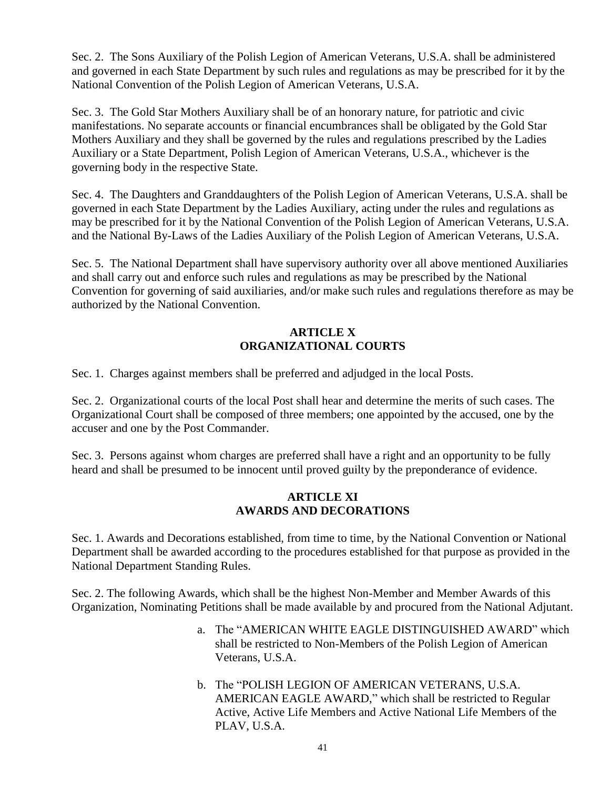Sec. 2. The Sons Auxiliary of the Polish Legion of American Veterans, U.S.A. shall be administered and governed in each State Department by such rules and regulations as may be prescribed for it by the National Convention of the Polish Legion of American Veterans, U.S.A.

Sec. 3. The Gold Star Mothers Auxiliary shall be of an honorary nature, for patriotic and civic manifestations. No separate accounts or financial encumbrances shall be obligated by the Gold Star Mothers Auxiliary and they shall be governed by the rules and regulations prescribed by the Ladies Auxiliary or a State Department, Polish Legion of American Veterans, U.S.A., whichever is the governing body in the respective State.

Sec. 4. The Daughters and Granddaughters of the Polish Legion of American Veterans, U.S.A. shall be governed in each State Department by the Ladies Auxiliary, acting under the rules and regulations as may be prescribed for it by the National Convention of the Polish Legion of American Veterans, U.S.A. and the National By-Laws of the Ladies Auxiliary of the Polish Legion of American Veterans, U.S.A.

Sec. 5. The National Department shall have supervisory authority over all above mentioned Auxiliaries and shall carry out and enforce such rules and regulations as may be prescribed by the National Convention for governing of said auxiliaries, and/or make such rules and regulations therefore as may be authorized by the National Convention.

### **ARTICLE X ORGANIZATIONAL COURTS**

Sec. 1. Charges against members shall be preferred and adjudged in the local Posts.

Sec. 2. Organizational courts of the local Post shall hear and determine the merits of such cases. The Organizational Court shall be composed of three members; one appointed by the accused, one by the accuser and one by the Post Commander.

Sec. 3. Persons against whom charges are preferred shall have a right and an opportunity to be fully heard and shall be presumed to be innocent until proved guilty by the preponderance of evidence.

#### **ARTICLE XI AWARDS AND DECORATIONS**

Sec. 1. Awards and Decorations established, from time to time, by the National Convention or National Department shall be awarded according to the procedures established for that purpose as provided in the National Department Standing Rules.

Sec. 2. The following Awards, which shall be the highest Non-Member and Member Awards of this Organization, Nominating Petitions shall be made available by and procured from the National Adjutant.

- a. The "AMERICAN WHITE EAGLE DISTINGUISHED AWARD" which shall be restricted to Non-Members of the Polish Legion of American Veterans, U.S.A.
- b. The "POLISH LEGION OF AMERICAN VETERANS, U.S.A. AMERICAN EAGLE AWARD," which shall be restricted to Regular Active, Active Life Members and Active National Life Members of the PLAV, U.S.A.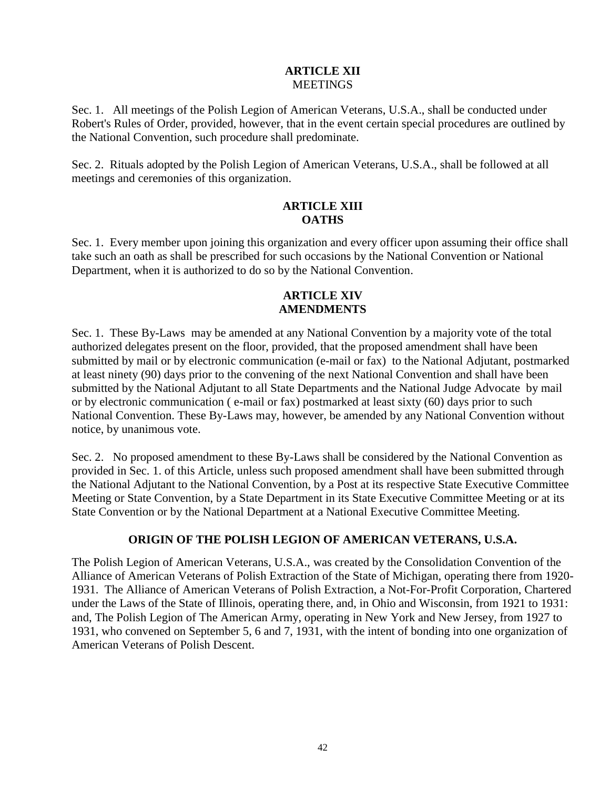#### **ARTICLE XII MEETINGS**

Sec. 1. All meetings of the Polish Legion of American Veterans, U.S.A., shall be conducted under Robert's Rules of Order, provided, however, that in the event certain special procedures are outlined by the National Convention, such procedure shall predominate.

Sec. 2. Rituals adopted by the Polish Legion of American Veterans, U.S.A., shall be followed at all meetings and ceremonies of this organization.

#### **ARTICLE XIII OATHS**

Sec. 1. Every member upon joining this organization and every officer upon assuming their office shall take such an oath as shall be prescribed for such occasions by the National Convention or National Department, when it is authorized to do so by the National Convention.

### **ARTICLE XIV AMENDMENTS**

Sec. 1. These By-Laws may be amended at any National Convention by a majority vote of the total authorized delegates present on the floor, provided, that the proposed amendment shall have been submitted by mail or by electronic communication (e-mail or fax) to the National Adjutant, postmarked at least ninety (90) days prior to the convening of the next National Convention and shall have been submitted by the National Adjutant to all State Departments and the National Judge Advocate by mail or by electronic communication ( e-mail or fax) postmarked at least sixty (60) days prior to such National Convention. These By-Laws may, however, be amended by any National Convention without notice, by unanimous vote.

Sec. 2. No proposed amendment to these By-Laws shall be considered by the National Convention as provided in Sec. 1. of this Article, unless such proposed amendment shall have been submitted through the National Adjutant to the National Convention, by a Post at its respective State Executive Committee Meeting or State Convention, by a State Department in its State Executive Committee Meeting or at its State Convention or by the National Department at a National Executive Committee Meeting.

# **ORIGIN OF THE POLISH LEGION OF AMERICAN VETERANS, U.S.A.**

The Polish Legion of American Veterans, U.S.A., was created by the Consolidation Convention of the Alliance of American Veterans of Polish Extraction of the State of Michigan, operating there from 1920- 1931. The Alliance of American Veterans of Polish Extraction, a Not-For-Profit Corporation, Chartered under the Laws of the State of Illinois, operating there, and, in Ohio and Wisconsin, from 1921 to 1931: and, The Polish Legion of The American Army, operating in New York and New Jersey, from 1927 to 1931, who convened on September 5, 6 and 7, 1931, with the intent of bonding into one organization of American Veterans of Polish Descent.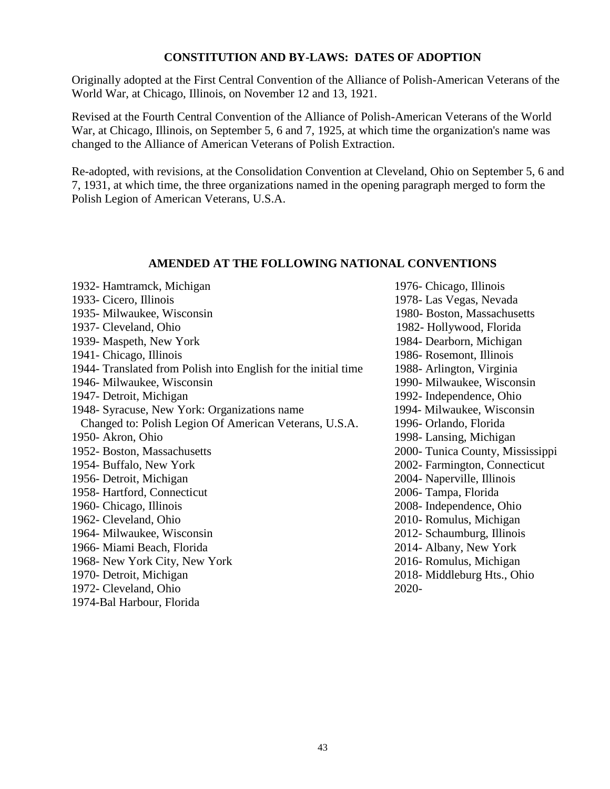#### **CONSTITUTION AND BY-LAWS: DATES OF ADOPTION**

Originally adopted at the First Central Convention of the Alliance of Polish-American Veterans of the World War, at Chicago, Illinois, on November 12 and 13, 1921.

Revised at the Fourth Central Convention of the Alliance of Polish-American Veterans of the World War, at Chicago, Illinois, on September 5, 6 and 7, 1925, at which time the organization's name was changed to the Alliance of American Veterans of Polish Extraction.

Re-adopted, with revisions, at the Consolidation Convention at Cleveland, Ohio on September 5, 6 and 7, 1931, at which time, the three organizations named in the opening paragraph merged to form the Polish Legion of American Veterans, U.S.A.

### **AMENDED AT THE FOLLOWING NATIONAL CONVENTIONS**

| 1932- Hamtramck, Michigan                                      | 1976- Chicago, Illinois          |
|----------------------------------------------------------------|----------------------------------|
| 1933- Cicero, Illinois                                         | 1978- Las Vegas, Nevada          |
| 1935- Milwaukee, Wisconsin                                     | 1980- Boston, Massachusetts      |
| 1937- Cleveland, Ohio                                          | 1982- Hollywood, Florida         |
| 1939- Maspeth, New York                                        | 1984- Dearborn, Michigan         |
| 1941- Chicago, Illinois                                        | 1986- Rosemont, Illinois         |
| 1944- Translated from Polish into English for the initial time | 1988- Arlington, Virginia        |
| 1946- Milwaukee, Wisconsin                                     | 1990- Milwaukee, Wisconsin       |
| 1947- Detroit, Michigan                                        | 1992- Independence, Ohio         |
| 1948- Syracuse, New York: Organizations name                   | 1994- Milwaukee, Wisconsin       |
| Changed to: Polish Legion Of American Veterans, U.S.A.         | 1996- Orlando, Florida           |
| 1950- Akron, Ohio                                              | 1998- Lansing, Michigan          |
| 1952- Boston, Massachusetts                                    | 2000- Tunica County, Mississippi |
| 1954- Buffalo, New York                                        | 2002- Farmington, Connecticut    |
| 1956- Detroit, Michigan                                        | 2004- Naperville, Illinois       |
| 1958- Hartford, Connecticut                                    | 2006- Tampa, Florida             |
| 1960- Chicago, Illinois                                        | 2008- Independence, Ohio         |
| 1962- Cleveland, Ohio                                          | 2010- Romulus, Michigan          |
| 1964- Milwaukee, Wisconsin                                     | 2012- Schaumburg, Illinois       |
| 1966- Miami Beach, Florida                                     | 2014- Albany, New York           |
| 1968- New York City, New York                                  | 2016- Romulus, Michigan          |
| 1970- Detroit, Michigan                                        | 2018-Middleburg Hts., Ohio       |
| 1972- Cleveland, Ohio                                          | 2020-                            |
| 1974-Bal Harbour, Florida                                      |                                  |